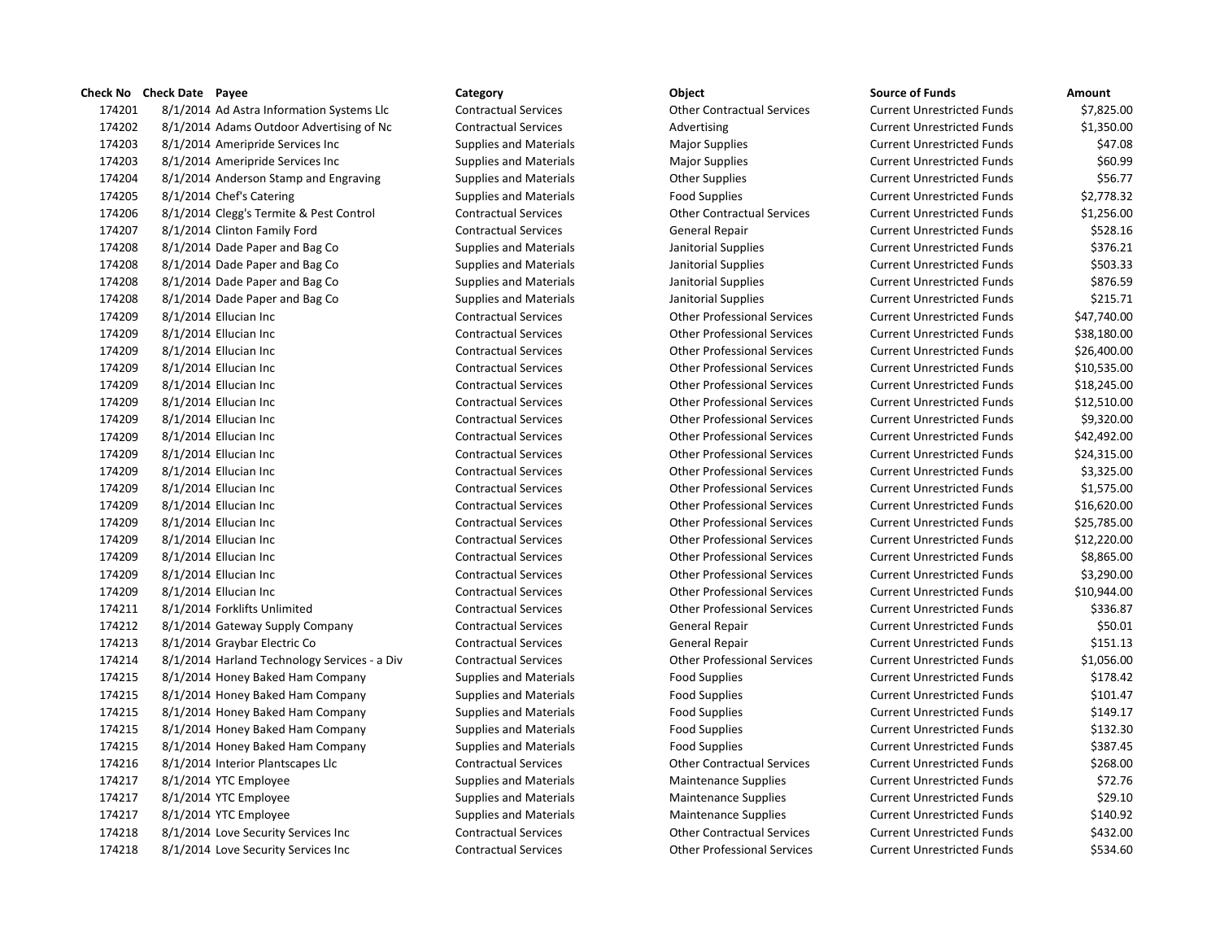| 174201 | 8/1/2014 Ad Astra Information Systems Llc    |
|--------|----------------------------------------------|
| 174202 | 8/1/2014 Adams Outdoor Advertising of Nc     |
| 174203 | 8/1/2014 Ameripride Services Inc             |
| 174203 | 8/1/2014 Ameripride Services Inc             |
| 174204 | 8/1/2014 Anderson Stamp and Engraving        |
| 174205 | 8/1/2014 Chef's Catering                     |
| 174206 | 8/1/2014 Clegg's Termite & Pest Control      |
| 174207 | 8/1/2014 Clinton Family Ford                 |
| 174208 | 8/1/2014 Dade Paper and Bag Co               |
| 174208 | 8/1/2014 Dade Paper and Bag Co               |
| 174208 | 8/1/2014 Dade Paper and Bag Co               |
| 174208 | 8/1/2014 Dade Paper and Bag Co               |
| 174209 | 8/1/2014 Ellucian Inc                        |
| 174209 | 8/1/2014 Ellucian Inc                        |
| 174209 | 8/1/2014 Ellucian Inc                        |
| 174209 | 8/1/2014 Ellucian Inc                        |
| 174209 | 8/1/2014 Ellucian Inc                        |
| 174209 | 8/1/2014 Ellucian Inc                        |
| 174209 | 8/1/2014 Ellucian Inc                        |
| 174209 | 8/1/2014 Ellucian Inc                        |
| 174209 | 8/1/2014 Ellucian Inc                        |
| 174209 | 8/1/2014 Ellucian Inc                        |
| 174209 | 8/1/2014 Ellucian Inc                        |
| 174209 | 8/1/2014 Ellucian Inc                        |
| 174209 | 8/1/2014 Ellucian Inc                        |
| 174209 | 8/1/2014 Ellucian Inc                        |
| 174209 | 8/1/2014 Ellucian Inc                        |
| 174209 | 8/1/2014 Ellucian Inc                        |
| 174209 | 8/1/2014 Ellucian Inc                        |
| 174211 | 8/1/2014 Forklifts Unlimited                 |
| 174212 | 8/1/2014 Gateway Supply Company              |
| 174213 | 8/1/2014 Graybar Electric Co                 |
| 174214 | 8/1/2014 Harland Technology Services - a Div |
| 174215 | 8/1/2014 Honey Baked Ham Company             |
| 174215 | 8/1/2014 Honey Baked Ham Company             |
| 174215 | 8/1/2014 Honey Baked Ham Company             |
| 174215 | 8/1/2014 Honey Baked Ham Company             |
| 174215 | 8/1/2014 Honey Baked Ham Company             |
| 174216 | 8/1/2014 Interior Plantscapes Llc            |
| 174217 | 8/1/2014 YTC Employee                        |
| 174217 | 8/1/2014 YTC Employee                        |
| 174217 | 8/1/2014 YTC Employee                        |
| 174218 | 8/1/2014 Love Security Services Inc          |
| 174218 | 8/1/2014 Love Security Services Inc          |

# **Check No Check Date Payee Category Object Source of Funds Amount** 8/1/2014 Ad Astra Information Systems Llc Contractual Services Other Contractual Services Current Unrestricted Funds \$7,825.00 1,350.00 Contractual Services **Advertising Current Unrestricted Funds** \$1,350.00 8/1/2014 Ameripride Services Inc Supplies and Materials Major Supplies Current Unrestricted Funds \$47.08 8/1/2014 Ameripride Services Inc Supplies and Materials Major Supplies Current Unrestricted Funds \$60.99 8/1/2014 Anderson Stamp and Engraving Supplies and Materials Other Supplies Current Unrestricted Funds \$56.77 8/1/2014 Chef's Catering Supplies and Materials Food Supplies Current Unrestricted Funds \$2,778.32 8/1/2014 Clegg's Termite & Pest Control Contractual Services Other Contractual Services Current Unrestricted Funds \$1,256.00 8/1/2014 Clinton Family Ford Contractual Services General Repair Current Unrestricted Funds \$528.16 8/1/2014 Dade Paper and Bag Co Supplies and Materials Janitorial Supplies Current Unrestricted Funds \$376.21 8/1/2014 Dade Paper and Bag Co Supplies and Materials Janitorial Supplies Current Unrestricted Funds \$503.33 8/1/2014 Dade Paper and Bag Co Supplies and Materials Janitorial Supplies Current Unrestricted Funds \$876.59 1742 Supplies and Materials **Supplies** 3215.71 8/1/2014 Ellucian Inc Contractual Services Other Professional Services Current Unrestricted Funds \$47,740.00 8/1/2014 Ellucian Inc Contractual Services Other Professional Services Current Unrestricted Funds \$38,180.00 8/1/2014 Ellucian Inc Contractual Services Other Professional Services Current Unrestricted Funds \$26,400.00 8/1/2014 Ellucian Inc Contractual Services Other Professional Services Current Unrestricted Funds \$10,535.00 8/1/2014 Ellucian Inc Contractual Services Other Professional Services Current Unrestricted Funds \$18,245.00 8/1/2014 Ellucian Inc Contractual Services Other Professional Services Current Unrestricted Funds \$12,510.00 8/1/2014 Ellucian Inc Contractual Services Other Professional Services Current Unrestricted Funds \$9,320.00 8/1/2014 Ellucian Inc Contractual Services Other Professional Services Current Unrestricted Funds \$42,492.00 8/1/2014 Ellucian Inc Contractual Services Other Professional Services Current Unrestricted Funds \$24,315.00 8/1/2014 Ellucian Inc Contractual Services Other Professional Services Current Unrestricted Funds \$3,325.00 8/1/2014 Ellucian Inc Contractual Services Other Professional Services Current Unrestricted Funds \$1,575.00 8/1/2014 Ellucian Inc Contractual Services Other Professional Services Current Unrestricted Funds \$16,620.00 8/1/2014 Ellucian Inc Contractual Services Other Professional Services Current Unrestricted Funds \$25,785.00 8/1/2014 Ellucian Inc Contractual Services Other Professional Services Current Unrestricted Funds \$12,220.00 8/1/2014 Ellucian Inc Contractual Services Other Professional Services Current Unrestricted Funds \$8,865.00 8/1/2014 Ellucian Inc Contractual Services Other Professional Services Current Unrestricted Funds \$3,290.00 8/1/2014 Ellucian Inc Contractual Services Other Professional Services Current Unrestricted Funds \$10,944.00 8/1/2014 Forklifts Unlimited Contractual Services Other Professional Services Current Unrestricted Funds \$336.87 8/1/2014 Gateway Supply Company Contractual Services General Repair Current Unrestricted Funds \$50.01 8/1/2014 Graybar Electric Co Contractual Services General Repair Current Unrestricted Funds \$151.13 8/1/2014 Harland Technology Services - a Div Contractual Services Other Professional Services Current Unrestricted Funds \$1,056.00 8/1/2014 Honey Baked Ham Company Supplies and Materials Food Supplies Current Unrestricted Funds \$178.42 8/1/2014 Honey Baked Ham Company Supplies and Materials Food Supplies Current Unrestricted Funds \$101.47 8/1/2014 Honey Baked Ham Company Supplies and Materials Food Supplies Current Unrestricted Funds \$149.17 8/1/2014 Honey Baked Ham Company Supplies and Materials Food Supplies Current Unrestricted Funds \$132.30 8/1/2014 Honey Baked Ham Company Supplies and Materials Food Supplies Current Unrestricted Funds \$387.45 8/1/2014 Interior Plantscapes Llc Contractual Services Other Contractual Services Current Unrestricted Funds \$268.00 8/1/2014 YTC Employee Supplies and Materials Maintenance Supplies Current Unrestricted Funds \$72.76 8/1/2014 YTC Employee Supplies and Materials Maintenance Supplies Current Unrestricted Funds \$29.10 8/1/2014 YTC Employee Supplies and Materials Maintenance Supplies Current Unrestricted Funds \$140.92 8/1/2014 Love Security Services Inc Contractual Services Other Contractual Services Current Unrestricted Funds \$432.00 8/1/2014 Love Security Services Inc Contractual Services Other Professional Services Current Unrestricted Funds \$534.60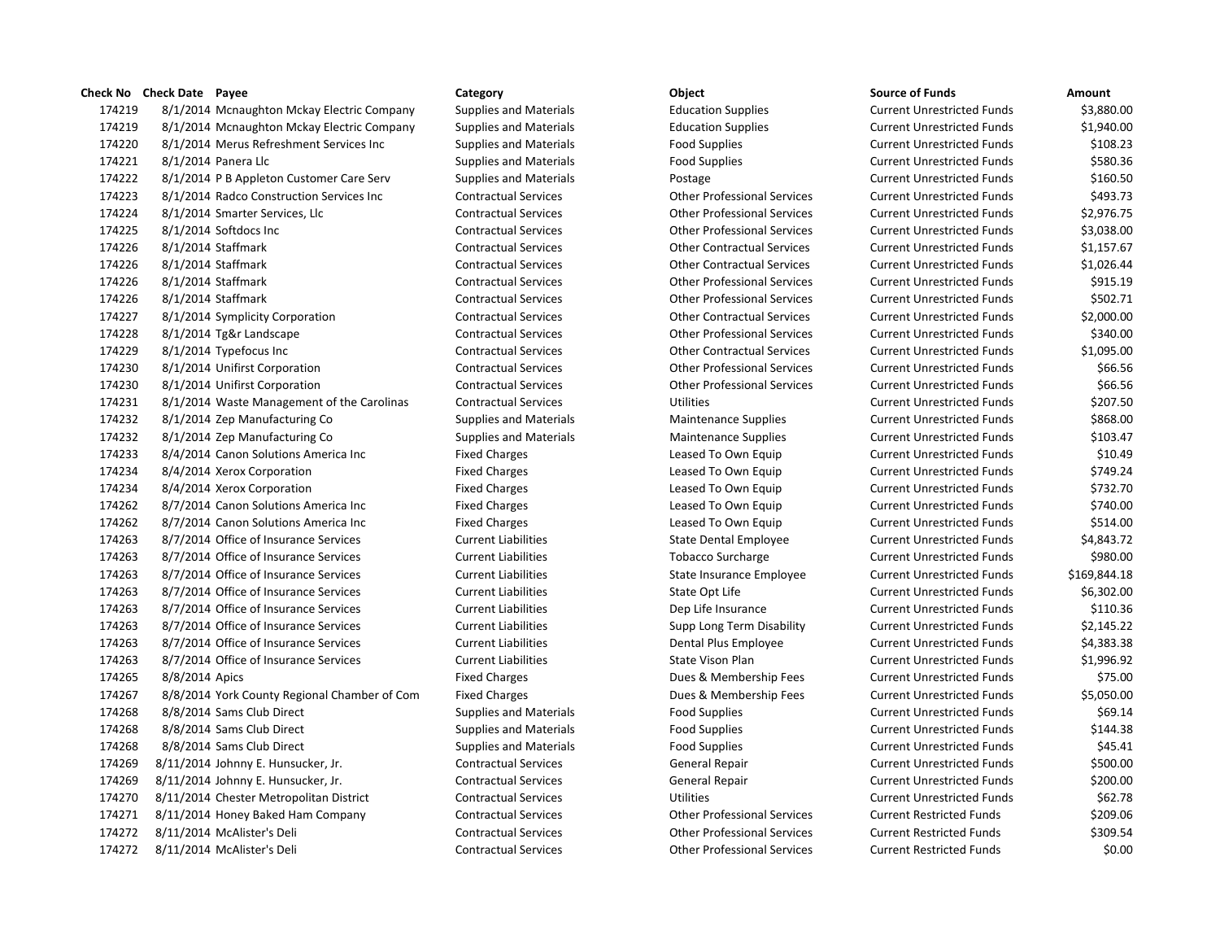| 174219 |                | 8/1/2014 Mcnaughton Mckay Electric Company   |
|--------|----------------|----------------------------------------------|
| 174219 |                | 8/1/2014 Mcnaughton Mckay Electric Company   |
| 174220 |                | 8/1/2014 Merus Refreshment Services Inc      |
| 174221 |                | 8/1/2014 Panera Llc                          |
| 174222 |                | 8/1/2014 P B Appleton Customer Care Serv     |
| 174223 |                | 8/1/2014 Radco Construction Services Inc     |
| 174224 |                | 8/1/2014 Smarter Services, Llc               |
| 174225 |                | 8/1/2014 Softdocs Inc                        |
| 174226 |                | 8/1/2014 Staffmark                           |
| 174226 |                | 8/1/2014 Staffmark                           |
| 174226 |                | 8/1/2014 Staffmark                           |
| 174226 |                | 8/1/2014 Staffmark                           |
| 174227 |                | 8/1/2014 Symplicity Corporation              |
| 174228 |                | 8/1/2014 Tg&r Landscape                      |
| 174229 |                | 8/1/2014 Typefocus Inc                       |
| 174230 |                | 8/1/2014 Unifirst Corporation                |
| 174230 |                | 8/1/2014 Unifirst Corporation                |
| 174231 |                | 8/1/2014 Waste Management of the Carolinas   |
| 174232 |                | 8/1/2014 Zep Manufacturing Co                |
| 174232 |                | 8/1/2014 Zep Manufacturing Co                |
| 174233 |                | 8/4/2014 Canon Solutions America Inc         |
| 174234 |                | 8/4/2014 Xerox Corporation                   |
| 174234 |                | 8/4/2014 Xerox Corporation                   |
| 174262 |                | 8/7/2014 Canon Solutions America Inc         |
| 174262 |                | 8/7/2014 Canon Solutions America Inc         |
| 174263 |                | 8/7/2014 Office of Insurance Services        |
| 174263 |                | 8/7/2014 Office of Insurance Services        |
| 174263 |                | 8/7/2014 Office of Insurance Services        |
| 174263 |                | 8/7/2014 Office of Insurance Services        |
| 174263 |                | 8/7/2014 Office of Insurance Services        |
| 174263 |                | 8/7/2014 Office of Insurance Services        |
| 174263 |                | 8/7/2014 Office of Insurance Services        |
| 174263 |                | 8/7/2014 Office of Insurance Services        |
| 174265 | 8/8/2014 Apics |                                              |
| 174267 |                | 8/8/2014 York County Regional Chamber of Com |
| 174268 |                | 8/8/2014 Sams Club Direct                    |
| 174268 |                | 8/8/2014 Sams Club Direct                    |
| 174268 |                | 8/8/2014 Sams Club Direct                    |
| 174269 |                | 8/11/2014 Johnny E. Hunsucker, Jr.           |
| 174269 |                | 8/11/2014 Johnny E. Hunsucker, Jr.           |
| 174270 |                | 8/11/2014 Chester Metropolitan District      |
| 174271 |                | 8/11/2014 Honey Baked Ham Company            |
| 174272 |                | 8/11/2014 McAlister's Deli                   |
| 174272 |                | 8/11/2014 McAlister's Deli                   |

 8/1/2014 Mcnaughton Mckay Electric Company Supplies and Materials Education Supplies Current Unrestricted Funds \$3,880.00 8/1/2014 Mcnaughton Mckay Electric Company Supplies and Materials Education Supplies Current Unrestricted Funds \$1,940.00 8/1/2014 Merus Refreshment Services Inc Supplies and Materials Food Supplies Current Unrestricted Funds \$108.23 8/1/2014 Panera Llc Supplies and Materials Food Supplies Current Unrestricted Funds \$580.36 8/1/2014 P B Appleton Customer Care Serv Supplies and Materials Postage Current Unrestricted Funds \$160.50 8/1/2014 Radco Construction Services Inc Contractual Services Other Professional Services Current Unrestricted Funds \$493.73 8/1/2014 Smarter Services, Llc Contractual Services Other Professional Services Current Unrestricted Funds \$2,976.75 8/1/2014 Softdocs Inc Contractual Services Other Professional Services Current Unrestricted Funds \$3,038.00 8/1/2014 Staffmark Contractual Services Other Contractual Services Current Unrestricted Funds \$1,157.67 8/1/2014 Staffmark Contractual Services Other Contractual Services Current Unrestricted Funds \$1,026.44 8/1/2014 Staffmark Contractual Services Other Professional Services Current Unrestricted Funds \$915.19 8/1/2014 Staffmark Contractual Services Other Professional Services Current Unrestricted Funds \$502.71 8/1/2014 Symplicity Corporation Contractual Services Other Contractual Services Current Unrestricted Funds \$2,000.00 8/1/2014 Tg&r Landscape Contractual Services Other Professional Services Current Unrestricted Funds \$340.00 8/1/2014 Typefocus Inc Contractual Services Other Contractual Services Current Unrestricted Funds \$1,095.00 8/1/2014 Unifirst Corporation Contractual Services Other Professional Services Current Unrestricted Funds \$66.56 8/1/2014 Unifirst Corporation Contractual Services Other Professional Services Current Unrestricted Funds \$66.56 8/1/2014 Waste Management of the Carolinas Contractual Services Utilities Current Unrestricted Funds \$207.50 8/1/2014 Zep Manufacturing Co Supplies and Materials Maintenance Supplies Current Unrestricted Funds \$868.00 8/1/2014 Zep Manufacturing Co Supplies and Materials Maintenance Supplies Current Unrestricted Funds \$103.47 Fixed Charges The Solutions Leased To Own Equip Current Unrestricted Funds \$10.49 Fixed Charges The State of the Leased To Own Equip Current Unrestricted Funds Care and State State State State Fixed Charges The Leased To Own Equip Current Unrestricted Funds \$732.70 Fixed Charges The State Income Cleased To Own Equip Current Unrestricted Funds \$740.00 Fixed Charges The Theorem Cleased To Own Equip Current Unrestricted Funds \$514.00 8/7/2014 Office of Insurance Services Current Liabilities State Dental Employee Current Unrestricted Funds \$4,843.72 8/7/2014 Office of Insurance Services Current Liabilities Tobacco Surcharge Current Unrestricted Funds \$980.00 Current Liabilities **State Insurance Employee** Current Unrestricted Funds \$169,844.18 8/7/2014 Office of Insurance Services Current Liabilities State Opt Life Current Unrestricted Funds \$6,302.00 8/7/2014 Office of Insurance Services Current Liabilities Dep Life Insurance Current Unrestricted Funds \$110.36 8/7/2014 Office of Insurance Services Current Liabilities Supp Long Term Disability Current Unrestricted Funds \$2,145.22 8/7/2014 Office of Insurance Services Current Liabilities Dental Plus Employee Current Unrestricted Funds \$4,383.38 8/7/2014 Office of Insurance Services Current Liabilities State Vison Plan Current Unrestricted Funds \$1,996.92 Fixed Charges The Transform of the Superson Dues & Membership Fees Current Unrestricted Funds Current Unrestricted Funds \$75.00 Fixed Charges The Superstand Chamber of Current Unrestricted Funds 55,050.00 8/8/2014 Sams Club Direct Supplies and Materials Food Supplies Current Unrestricted Funds \$69.14 8/8/2014 Sams Club Direct Supplies and Materials Food Supplies Current Unrestricted Funds \$144.38 8/8/2014 Sams Club Direct Supplies and Materials Food Supplies Current Unrestricted Funds \$45.41 8/11/2014 Johnny E. Hunsucker, Jr. Contractual Services General Repair Current Unrestricted Funds \$500.00 8/11/2014 Johnny E. Hunsucker, Jr. Contractual Services General Repair Current Unrestricted Funds \$200.00 8/11/2014 Chester Metropolitan District Contractual Services Utilities Current Unrestricted Funds \$62.78 8/11/2014 Honey Baked Ham Company Contractual Services Other Professional Services Current Restricted Funds \$209.06 8/11/2014 McAlister's Deli Contractual Services Other Professional Services Current Restricted Funds \$309.54 8/11/2014 McAlister's Deli Contractual Services Other Professional Services Current Restricted Funds \$0.00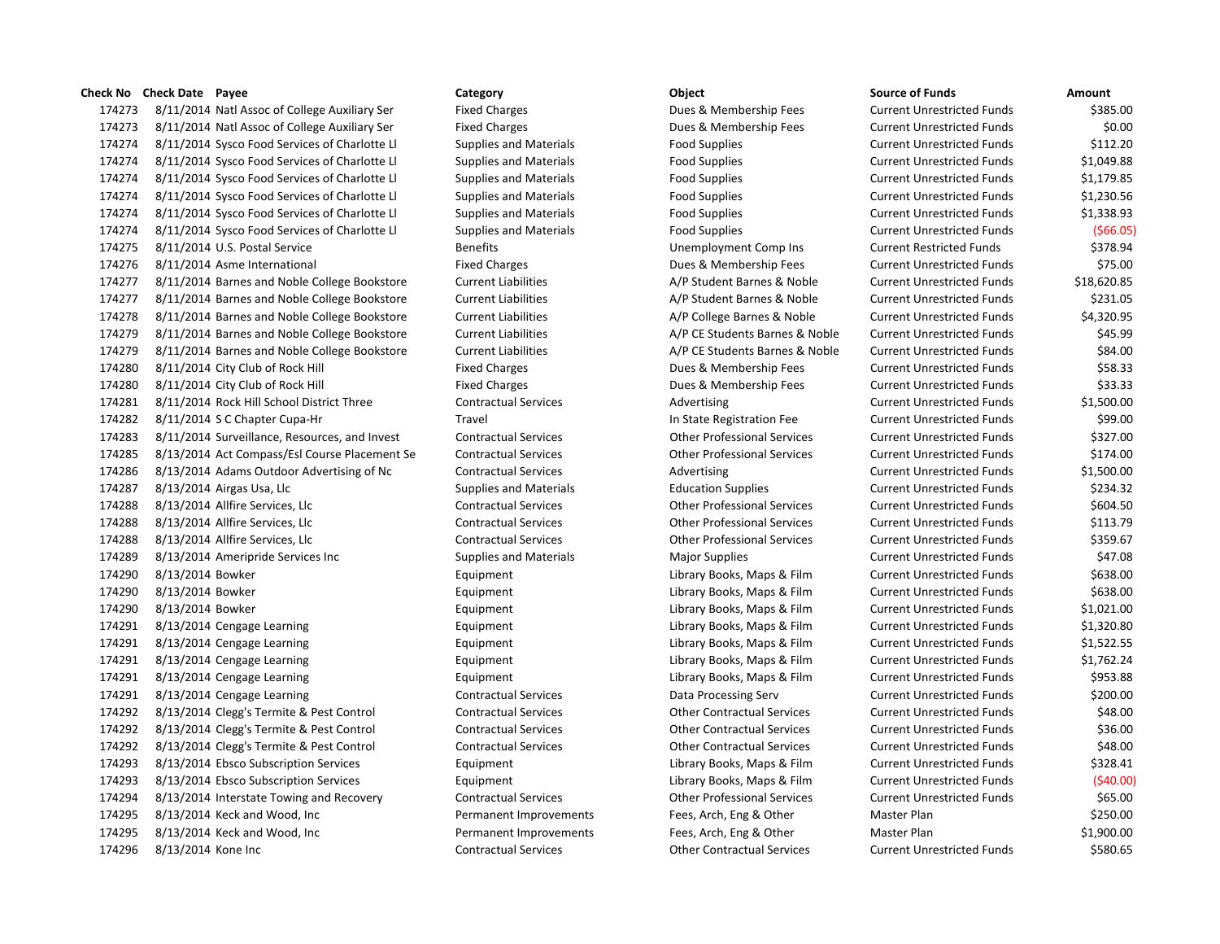174273 8/11/2014 Natl Assoc of College Auxiliary Ser Fixed Charges Funds 2008 & Membership Fees 174273 8/11/2014 Natl Assoc of College Auxiliary Ser Fixed Charges Funds 20.000 Dues & Membership Fees 174274 8/11/2014 Sysco Food Services of Charlotte Ll Supplies and Materials Food Supplies 174274 8/11/2014 Sysco Food Services of Charlotte Ll Supplies and Materials Food Supplies 174274 8/11/2014 Sysco Food Services of Charlotte Ll Supplies and Materials Food Supplies 174274 8/11/2014 Sysco Food Services of Charlotte Ll Supplies and Materials Food Supplies 174274 8/11/2014 Sysco Food Services of Charlotte Ll Supplies and Materials Food Supplies 174274 8/11/2014 Sysco Food Services of Charlotte Ll Supplies and Materials Food Supplies 174275 8/11/2014 U.S. Postal Service Samples Benefits Benefits Strategies Benefits Burrent Comp Ins Current Restricted Funds & Stricted Funds & Benefits Strategies Burrent Restricted Funds & Stricted Funds & Stricted Funds 174276 8/11/2014 Asme International Fixed Charges Fixed Charges Dues & Membership Fees 174277 8/11/2014 Barnes and Noble College Bookstore Current Liabilities A/P Student Barnes & Noble 174277 8/11/2014 Barnes and Noble College Bookstore Current Liabilities A/P Student Barnes & Noble 174278 8/11/2014 Barnes and Noble College Bookstore Current Liabilities A/P College Barnes & Noble 174279 8/11/2014 Barnes and Noble College Bookstore Current Liabilities A/P CE Students Barnes & Noble 174279 8/11/2014 Barnes and Noble College Bookstore Current Liabilities A/P CE Students Barnes & Noble 174280 8/11/2014 City Club of Rock Hill Fixed Charges Fixed Charges Dues & Membership Fees 174280 8/11/2014 City Club of Rock Hill Fixed Charges Fixed Charges Dues & Membership Fees 174281 8/11/2014 Rock Hill School District Three Contractual Services Current Advertising 174282 8/11/2014 S C Chapter Cupa-Hr Travel Travel In State Registration Fee 174283 8/11/2014 Surveillance, Resources, and Invest Contractual Services Contractual Services Current Professional Services 174285 8/13/2014 Act Compass/Esl Course Placement Se Contractual Services Other Professional Services 174286 8/13/2014 Adams Outdoor Advertising of Nc Contractual Services Advertising Advertising 174287 8/13/2014 Airgas Usa, Llc Supplies and Materials Education Supplies and Materials 174288 8/13/2014 Allfire Services, Llc Contractual Services Current Unrestricted Funds & Current Unrestricted Funds & Other Professional Services 174288 8/13/2014 Allfire Services, Llc Contractual Services Current Unrestricted Funds & Contractual Services 174288 8/13/2014 Allfire Services, Llc Contractual Services Other Professional Services Current Unrestricted Funds \$359.67 174289 8/13/2014 Ameripride Services Inc Supplies and Materials Major Supplies And Materials 174290 8/13/2014 Bowker **Equipment** Equipment Library Books, Maps & Film 174290 8/13/2014 Bowker **Equipment** Equipment Library Books, Maps & Film 174290 8/13/2014 Bowker **Equipment** Equipment Library Books, Maps & Film 174291 8/13/2014 Cengage Learning The Equipment Equipment Library Books, Maps & Film 174291 8/13/2014 Cengage Learning The Equipment Equipment Library Books, Maps & Film 174291 8/13/2014 Cengage Learning The Equipment Equipment Library Books, Maps & Film 174291 8/13/2014 Cengage Learning The Equipment Equipment Library Books, Maps & Film 174291 8/13/2014 Cengage Learning Contractual Services Data Processing Serv 174292 8/13/2014 Clegg's Termite & Pest Control Contractual Services Contractual Services Current Unrestricted Funds & Pest Control 174292 8/13/2014 Clegg's Termite & Pest Control Contractual Services Current Contractual Services Current Unre 174292 8/13/2014 Clegg's Termite & Pest Control Contractual Services Current Contractual Services Current Unre 174293 8/13/2014 Ebsco Subscription Services Equipment Equipment Library Books, Maps & Film 174293 8/13/2014 Ebsco Subscription Services Equipment Equipment Library Books, Maps & Film 174294 8/13/2014 Interstate Towing and Recovery Contractual Services Current Contractual Services 174295 8/13/2014 Keck and Wood, Inc Permanent Improvements Fees, Arch, Eng & Other 174295 8/13/2014 Keck and Wood, Inc Permanent Improvements Fees, Arch, Eng & Other Master Plan & Other Master P 174296 8/13/2014 Kone Inc Contractual Services Contractual Services Current Unrestricted Funds & Services Current Unrestricted Funds & Services Current Unrestricted Funds & Services Current Unrestricted Funds & Services Cu

| source or runas            | Amount      |
|----------------------------|-------------|
| Current Unrestricted Funds | \$385.00    |
| Current Unrestricted Funds | \$0.00      |
| Current Unrestricted Funds | \$112.20    |
| Current Unrestricted Funds | \$1,049.88  |
| Current Unrestricted Funds | \$1,179.85  |
| Current Unrestricted Funds | \$1,230.56  |
| Current Unrestricted Funds | \$1,338.93  |
| Current Unrestricted Funds | ( \$66.05]  |
| Current Restricted Funds   | \$378.94    |
| Current Unrestricted Funds | \$75.00     |
| Current Unrestricted Funds | \$18,620.85 |
| Current Unrestricted Funds | \$231.05    |
| Current Unrestricted Funds | \$4,320.95  |
| Current Unrestricted Funds | \$45.99     |
| Current Unrestricted Funds | \$84.00     |
| Current Unrestricted Funds | \$58.33     |
| Current Unrestricted Funds | \$33.33     |
| Current Unrestricted Funds | \$1,500.00  |
| Current Unrestricted Funds | \$99.00     |
| Current Unrestricted Funds | \$327.00    |
| Current Unrestricted Funds | \$174.00    |
| Current Unrestricted Funds | \$1,500.00  |
| Current Unrestricted Funds | \$234.32    |
| Current Unrestricted Funds | \$604.50    |
| Current Unrestricted Funds | \$113.79    |
| Current Unrestricted Funds | \$359.67    |
| Current Unrestricted Funds | \$47.08     |
| Current Unrestricted Funds | \$638.00    |
| Current Unrestricted Funds | \$638.00    |
| Current Unrestricted Funds | \$1,021.00  |
| Current Unrestricted Funds | \$1,320.80  |
| Current Unrestricted Funds | \$1,522.55  |
| Current Unrestricted Funds | \$1,762.24  |
| Current Unrestricted Funds | \$953.88    |
| Current Unrestricted Funds | \$200.00    |
| Current Unrestricted Funds | \$48.00     |
| Current Unrestricted Funds | \$36.00     |
| Current Unrestricted Funds | \$48.00     |
| Current Unrestricted Funds | \$328.41    |
| Current Unrestricted Funds | (\$40.00)   |
| Current Unrestricted Funds | \$65.00     |
| Master Plan                | \$250.00    |
| Master Plan                | \$1,900.00  |
| Current Unrestricted Funds | \$580.65    |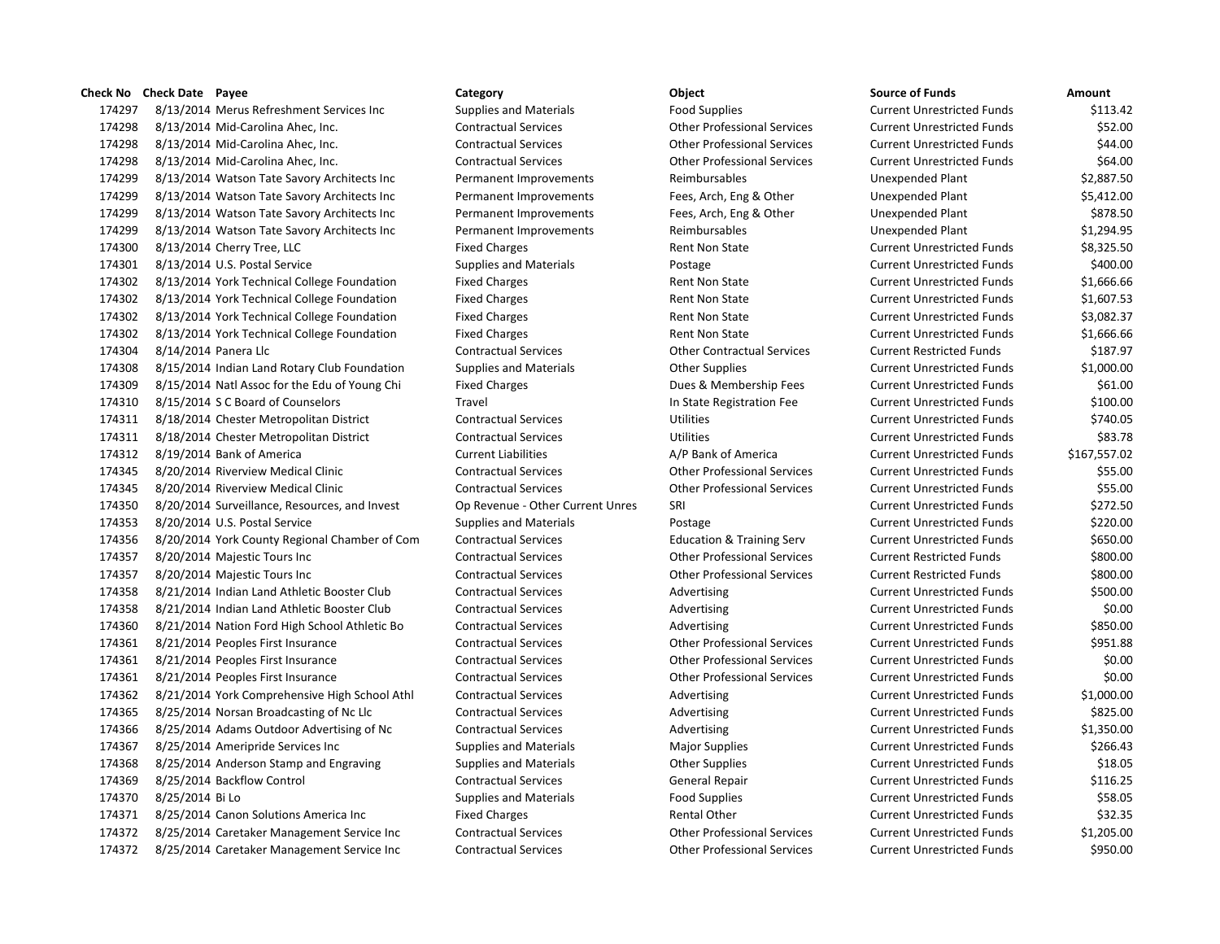8/13/2014 Merus Refreshment Services Inc Supplies and Materials Food Supplies Current Unrestricted Funds \$113.42 8/13/2014 Mid-Carolina Ahec, Inc. Contractual Services Other Professional Services Current Unrestricted Funds \$52.00 8/13/2014 Mid-Carolina Ahec, Inc. Contractual Services Other Professional Services Current Unrestricted Funds \$44.00 8/13/2014 Mid-Carolina Ahec, Inc. Contractual Services Other Professional Services Current Unrestricted Funds \$64.00 8/13/2014 Watson Tate Savory Architects Inc Permanent Improvements Reimbursables Unexpended Plant \$2,887.50 8/13/2014 Watson Tate Savory Architects Inc Permanent Improvements Fees, Arch, Eng & Other Unexpended Plant \$5,412.00 8/13/2014 Watson Tate Savory Architects Inc Permanent Improvements Fees, Arch, Eng & Other Unexpended Plant \$878.50 8/13/2014 Watson Tate Savory Architects Inc Permanent Improvements Reimbursables Unexpended Plant \$1,294.95 174300 8/13/2014 Cherry Tree, LLC **Fixed Charges** Fixed Charges Rent Non State Current Unrestricted Funds \$8,325.50 8/13/2014 U.S. Postal Service Supplies and Materials Postage Current Unrestricted Funds \$400.00 174302 8/13/2014 York Technical College Foundation Fixed Charges Rent Non State Current Unrestricted Funds \$1,666.66 174302 8/13/2014 York Technical College Foundation Fixed Charges Rent Non State Current Unrestricted Funds \$1,607.53 174302 8/13/2014 York Technical College Foundation Fixed Charges Rent Non State Current Unrestricted Funds \$3,082.37 174302 8/13/2014 York Technical College Foundation Fixed Charges Rent Non State Current Unrestricted Funds \$1,666.66 8/14/2014 Panera Llc Contractual Services Other Contractual Services Current Restricted Funds \$187.97 8/15/2014 Indian Land Rotary Club Foundation Supplies and Materials Other Supplies Current Unrestricted Funds \$1,000.00 174309 8/15/2014 Natl Assoc for the Edu of Young Chi Fixed Charges Dues & Membership Fees Current Unrestricted Funds \$61.00 174310 8/15/2014 SC Board of Counselors Travel Travel Travel In State Registration Fee Current Unrestricted Funds \$100.00 8/18/2014 Chester Metropolitan District Contractual Services Utilities Current Unrestricted Funds \$740.05 8/18/2014 Chester Metropolitan District Contractual Services Utilities Current Unrestricted Funds \$83.78 8/19/2014 Bank of America Current Liabilities A/P Bank of America Current Unrestricted Funds \$167,557.02 8/20/2014 Riverview Medical Clinic Contractual Services Other Professional Services Current Unrestricted Funds \$55.00 8/20/2014 Riverview Medical Clinic Contractual Services Other Professional Services Current Unrestricted Funds \$55.00 8/20/2014 Surveillance, Resources, and Invest Op Revenue - Other Current Unres SRI Current Unrestricted Funds \$272.50 8/20/2014 U.S. Postal Service Supplies and Materials Postage Current Unrestricted Funds \$220.00 8/20/2014 York County Regional Chamber of Com Contractual Services Education & Training Serv Current Unrestricted Funds \$650.00 8/20/2014 Majestic Tours Inc Contractual Services Other Professional Services Current Restricted Funds \$800.00 8/20/2014 Majestic Tours Inc Contractual Services Other Professional Services Current Restricted Funds \$800.00 174358 8/21/2014 Indian Land Athletic Booster Club Contractual Services Advertising Current Unrestricted Funds \$500.00 174358 8/21/2014 Indian Land Athletic Booster Club Contractual Services Advertising Current Unrestricted Funds \$0.00 174360 8/21/2014 Nation Ford High School Athletic Bo Contractual Services Advertising Current Unrestricted Funds \$850.00 8/21/2014 Peoples First Insurance Contractual Services Other Professional Services Current Unrestricted Funds \$951.88 8/21/2014 Peoples First Insurance Contractual Services Other Professional Services Current Unrestricted Funds \$0.00 8/21/2014 Peoples First Insurance Contractual Services Other Professional Services Current Unrestricted Funds \$0.00 174362 8/21/2014 York Comprehensive High School Athl Contractual Services Advertising Current Unrestricted Funds \$1,000.00 174365 8/25/2014 Norsan Broadcasting of Nc Llc Contractual Services Advertising Current Unrestricted Funds \$825.00 174366 8/25/2014 Adams Outdoor Advertising of Nc Contractual Services Advertising Current Unrestricted Funds \$1,350.00 174367 8/25/2014 Ameripride Services Inc Supplies and Materials Major Supplies Magior Supplies Current Unrestricted Funds \$266.43 174368 8/25/2014 Anderson Stamp and Engraving Supplies and Materials Computer Current Unrestricted Funds 518.05 8/25/2014 Backflow Control Contractual Services General Repair Current Unrestricted Funds \$116.25 8/25/2014 Bi Lo Supplies and Materials Food Supplies Current Unrestricted Funds \$58.05 174371 8/25/2014 Canon Solutions America Inc Fixed Charges Fixed Charges Rental Other Current Unrestricted Funds \$32.35 8/25/2014 Caretaker Management Service Inc Contractual Services Other Professional Services Current Unrestricted Funds \$1,205.00 8/25/2014 Caretaker Management Service Inc Contractual Services Other Professional Services Current Unrestricted Funds \$950.00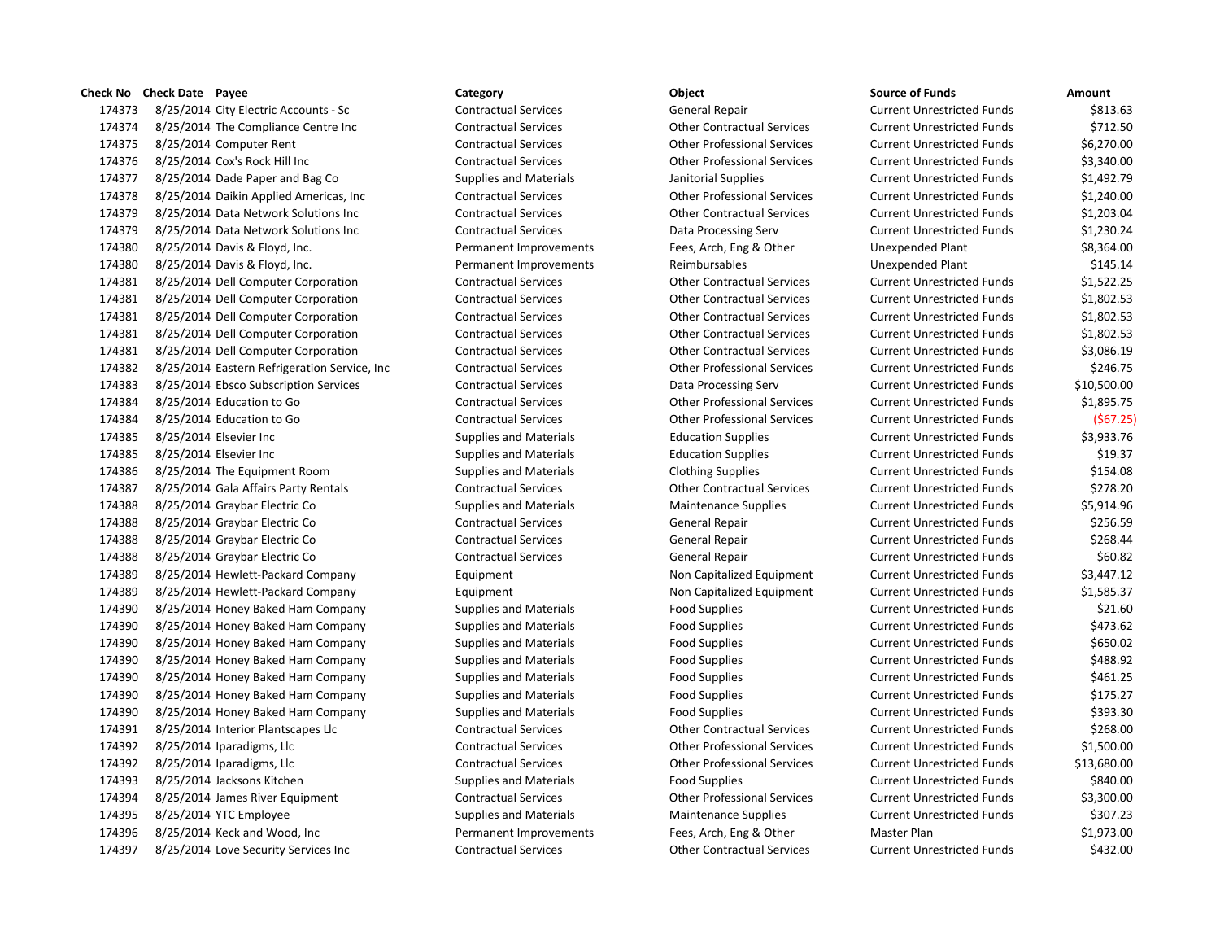8/25/2014 City Electric Accounts - Sc Contractual Services General Repair Current Unrestricted Funds \$813.63 8/25/2014 The Compliance Centre Inc Contractual Services Other Contractual Services Current Unrestricted Funds \$712.50 8/25/2014 Computer Rent Contractual Services Other Professional Services Current Unrestricted Funds \$6,270.00 8/25/2014 Cox's Rock Hill Inc Contractual Services Other Professional Services Current Unrestricted Funds \$3,340.00 8/25/2014 Dade Paper and Bag Co Supplies and Materials Janitorial Supplies Current Unrestricted Funds \$1,492.79 8/25/2014 Daikin Applied Americas, Inc Contractual Services Other Professional Services Current Unrestricted Funds \$1,240.00 8/25/2014 Data Network Solutions Inc Contractual Services Other Contractual Services Current Unrestricted Funds \$1,203.04 8/25/2014 Data Network Solutions Inc Contractual Services Data Processing Serv Current Unrestricted Funds \$1,230.24 8/25/2014 Davis & Floyd, Inc. Permanent Improvements Fees, Arch, Eng & Other Unexpended Plant \$8,364.00 8/25/2014 Davis & Floyd, Inc. Permanent Improvements Reimbursables Unexpended Plant \$145.14 8/25/2014 Dell Computer Corporation Contractual Services Other Contractual Services Current Unrestricted Funds \$1,522.25 8/25/2014 Dell Computer Corporation Contractual Services Other Contractual Services Current Unrestricted Funds \$1,802.53 8/25/2014 Dell Computer Corporation Contractual Services Other Contractual Services Current Unrestricted Funds \$1,802.53 8/25/2014 Dell Computer Corporation Contractual Services Other Contractual Services Current Unrestricted Funds \$1,802.53 8/25/2014 Dell Computer Corporation Contractual Services Other Contractual Services Current Unrestricted Funds \$3,086.19 8/25/2014 Eastern Refrigeration Service, Inc Contractual Services Other Professional Services Current Unrestricted Funds \$246.75 8/25/2014 Ebsco Subscription Services Contractual Services Data Processing Serv Current Unrestricted Funds \$10,500.00 8/25/2014 Education to Go Contractual Services Other Professional Services Current Unrestricted Funds \$1,895.75 8/25/2014 Education to Go Contractual Services Other Professional Services Current Unrestricted Funds (\$67.25) 8/25/2014 Elsevier Inc Supplies and Materials Education Supplies Current Unrestricted Funds \$3,933.76 8/25/2014 Elsevier Inc Supplies and Materials Education Supplies Current Unrestricted Funds \$19.37 8/25/2014 The Equipment Room Supplies and Materials Clothing Supplies Current Unrestricted Funds \$154.08 8/25/2014 Gala Affairs Party Rentals Contractual Services Other Contractual Services Current Unrestricted Funds \$278.20 174388 8/25/2014 Graybar Electric Co Supplies and Materials Maintenance Supplies Current Unrestricted Funds \$5,914.96 8/25/2014 Graybar Electric Co Contractual Services General Repair Current Unrestricted Funds \$256.59 8/25/2014 Graybar Electric Co Contractual Services General Repair Current Unrestricted Funds \$268.44 174388 8/25/2014 Graybar Electric Co Contractual Services General Repair Current Unrestricted Funds \$60.82 174389 8/25/2014 Hewlett-Packard Company Equipment Equipment Non Capitalized Equipment Current Unrestricted Funds \$3,447.12 174389 8/25/2014 Hewlett-Packard Company **Equipment** Equipment Non Capitalized Equipment Current Unrestricted Funds \$1,585.37 8/25/2014 Honey Baked Ham Company Supplies and Materials Food Supplies Current Unrestricted Funds \$21.60 8/25/2014 Honey Baked Ham Company Supplies and Materials Food Supplies Current Unrestricted Funds \$473.62 8/25/2014 Honey Baked Ham Company Supplies and Materials Food Supplies Current Unrestricted Funds \$650.02 8/25/2014 Honey Baked Ham Company Supplies and Materials Food Supplies Current Unrestricted Funds \$488.92 8/25/2014 Honey Baked Ham Company Supplies and Materials Food Supplies Current Unrestricted Funds \$461.25 8/25/2014 Honey Baked Ham Company Supplies and Materials Food Supplies Current Unrestricted Funds \$175.27 174390 8/25/2014 Honey Baked Ham Company Supplies and Materials Food Supplies Food Supplies Current Unrestricted Funds \$393.30 8/25/2014 Interior Plantscapes Llc Contractual Services Other Contractual Services Current Unrestricted Funds \$268.00 8/25/2014 Iparadigms, Llc Contractual Services Other Professional Services Current Unrestricted Funds \$1,500.00 8/25/2014 Iparadigms, Llc Contractual Services Other Professional Services Current Unrestricted Funds \$13,680.00 8/25/2014 Jacksons Kitchen Supplies and Materials Food Supplies Current Unrestricted Funds \$840.00 8/25/2014 James River Equipment Contractual Services Other Professional Services Current Unrestricted Funds \$3,300.00 8/25/2014 YTC Employee Supplies and Materials Maintenance Supplies Current Unrestricted Funds \$307.23 8/25/2014 Keck and Wood, Inc Permanent Improvements Fees, Arch, Eng & Other Master Plan \$1,973.00 8/25/2014 Love Security Services Inc Contractual Services Other Contractual Services Current Unrestricted Funds \$432.00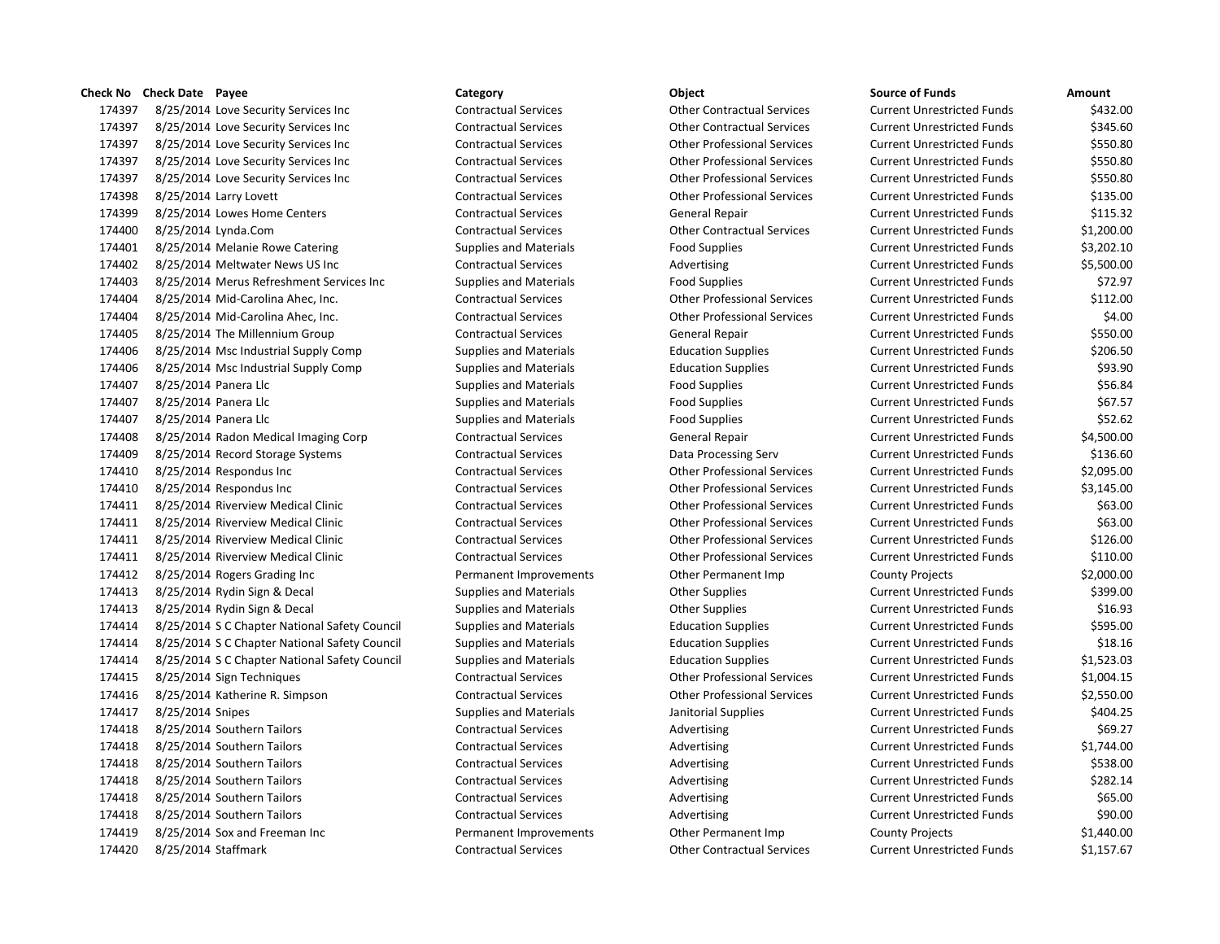8/25/2014 Love Security Services Inc Contractual Services Other Contractual Services Current Unrestricted Funds \$432.00 8/25/2014 Love Security Services Inc Contractual Services Other Contractual Services Current Unrestricted Funds \$345.60 8/25/2014 Love Security Services Inc Contractual Services Other Professional Services Current Unrestricted Funds \$550.80 8/25/2014 Love Security Services Inc Contractual Services Other Professional Services Current Unrestricted Funds \$550.80 8/25/2014 Love Security Services Inc Contractual Services Other Professional Services Current Unrestricted Funds \$550.80 8/25/2014 Larry Lovett Contractual Services Other Professional Services Current Unrestricted Funds \$135.00 8/25/2014 Lowes Home Centers Contractual Services General Repair Current Unrestricted Funds \$115.32 8/25/2014 Lynda.Com Contractual Services Other Contractual Services Current Unrestricted Funds \$1,200.00 174401 8/25/2014 Melanie Rowe Catering Supplies and Materials Food Supplies Food Supplies Current Unrestricted Funds \$3,202.10 174402 8/25/2014 Meltwater News US Inc Contractual Services Advertising Current Unrestricted Funds \$5,500.00 8/25/2014 Merus Refreshment Services Inc Supplies and Materials Food Supplies Current Unrestricted Funds \$72.97 8/25/2014 Mid-Carolina Ahec, Inc. Contractual Services Other Professional Services Current Unrestricted Funds \$112.00 8/25/2014 Mid-Carolina Ahec, Inc. Contractual Services Other Professional Services Current Unrestricted Funds \$4.00 8/25/2014 The Millennium Group Contractual Services General Repair Current Unrestricted Funds \$550.00 8/25/2014 Msc Industrial Supply Comp Supplies and Materials Education Supplies Current Unrestricted Funds \$206.50 8/25/2014 Msc Industrial Supply Comp Supplies and Materials Education Supplies Current Unrestricted Funds \$93.90 174407 8/25/2014 Panera Llc Supplies and Materials Food Supplies Food Supplies Current Unrestricted Funds \$56.84 174407 8/25/2014 Panera Llc Supplies and Materials Food Supplies Food Supplies Current Unrestricted Funds \$67.57 8/25/2014 Panera Llc Supplies and Materials Food Supplies Current Unrestricted Funds \$52.62 8/25/2014 Radon Medical Imaging Corp Contractual Services General Repair Current Unrestricted Funds \$4,500.00 8/25/2014 Record Storage Systems Contractual Services Data Processing Serv Current Unrestricted Funds \$136.60 8/25/2014 Respondus Inc Contractual Services Other Professional Services Current Unrestricted Funds \$2,095.00 8/25/2014 Respondus Inc Contractual Services Other Professional Services Current Unrestricted Funds \$3,145.00 8/25/2014 Riverview Medical Clinic Contractual Services Other Professional Services Current Unrestricted Funds \$63.00 8/25/2014 Riverview Medical Clinic Contractual Services Other Professional Services Current Unrestricted Funds \$63.00 8/25/2014 Riverview Medical Clinic Contractual Services Other Professional Services Current Unrestricted Funds \$126.00 8/25/2014 Riverview Medical Clinic Contractual Services Other Professional Services Current Unrestricted Funds \$110.00 8/25/2014 Rogers Grading Inc Permanent Improvements Other Permanent Imp County Projects \$2,000.00 8/25/2014 Rydin Sign & Decal Supplies and Materials Other Supplies Current Unrestricted Funds \$399.00 174413 8/25/2014 Rydin Sign & Decal Supplies and Materials Current Unrestricted Funds St6.93 8/25/2014 S C Chapter National Safety Council Supplies and Materials Education Supplies Current Unrestricted Funds \$595.00 174414 8/25/2014 S C Chapter National Safety Council Supplies and Materials Education Supplies Current Unrestricted Funds \$18.16 8/25/2014 S C Chapter National Safety Council Supplies and Materials Education Supplies Current Unrestricted Funds \$1,523.03 8/25/2014 Sign Techniques Contractual Services Other Professional Services Current Unrestricted Funds \$1,004.15 8/25/2014 Katherine R. Simpson Contractual Services Other Professional Services Current Unrestricted Funds \$2,550.00 174417 8/25/2014 Snipes Supplies and Materials Janitorial Supplies Supplies Current Unrestricted Funds \$404.25 174418 8/25/2014 Southern Tailors Contractual Services Advertising Current Unrestricted Funds \$69.27 174418 8/25/2014 Southern Tailors Contractual Services Advertising Current Unrestricted Funds \$1,744.00 174418 8/25/2014 Southern Tailors Contractual Services Advertising Current Unrestricted Funds \$538.00 174418 8/25/2014 Southern Tailors Contractual Services Advertising Current Unrestricted Funds \$282.14 174418 8/25/2014 Southern Tailors Contractual Services Advertising Advertising Current Unrestricted Funds \$65.00 174418 8/25/2014 Southern Tailors Contractual Services Advertising Advertising Current Unrestricted Funds \$90.00 8/25/2014 Sox and Freeman Inc Permanent Improvements Other Permanent Imp County Projects \$1,440.00 8/25/2014 Staffmark Contractual Services Other Contractual Services Current Unrestricted Funds \$1,157.67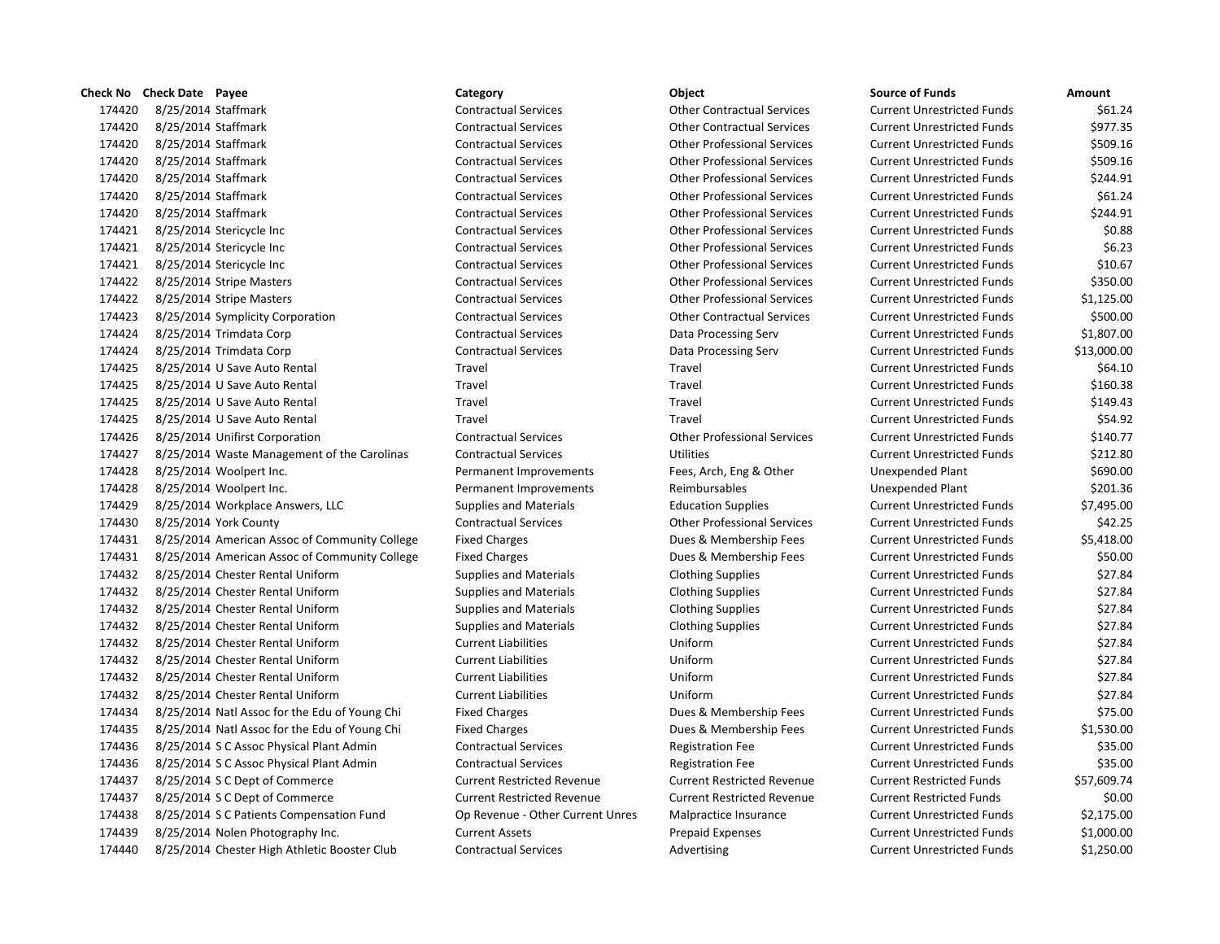| Check No | <b>Check Date</b> Payee |                                               | Category                          | Object                             | <b>Source of Funds</b>            | Amount  |
|----------|-------------------------|-----------------------------------------------|-----------------------------------|------------------------------------|-----------------------------------|---------|
| 174420   | 8/25/2014 Staffmark     |                                               | <b>Contractual Services</b>       | <b>Other Contractual Services</b>  | <b>Current Unrestricted Funds</b> | \$6     |
| 174420   | 8/25/2014 Staffmark     |                                               | <b>Contractual Services</b>       | <b>Other Contractual Services</b>  | <b>Current Unrestricted Funds</b> | \$97    |
| 174420   | 8/25/2014 Staffmark     |                                               | <b>Contractual Services</b>       | <b>Other Professional Services</b> | <b>Current Unrestricted Funds</b> | \$50    |
| 174420   | 8/25/2014 Staffmark     |                                               | <b>Contractual Services</b>       | <b>Other Professional Services</b> | <b>Current Unrestricted Funds</b> | \$50    |
| 174420   | 8/25/2014 Staffmark     |                                               | <b>Contractual Services</b>       | <b>Other Professional Services</b> | <b>Current Unrestricted Funds</b> | \$24    |
| 174420   | 8/25/2014 Staffmark     |                                               | <b>Contractual Services</b>       | <b>Other Professional Services</b> | <b>Current Unrestricted Funds</b> | \$6     |
| 174420   | 8/25/2014 Staffmark     |                                               | <b>Contractual Services</b>       | <b>Other Professional Services</b> | <b>Current Unrestricted Funds</b> | \$24    |
| 174421   |                         | 8/25/2014 Stericycle Inc                      | <b>Contractual Services</b>       | <b>Other Professional Services</b> | <b>Current Unrestricted Funds</b> | \$      |
| 174421   |                         | 8/25/2014 Stericycle Inc                      | <b>Contractual Services</b>       | <b>Other Professional Services</b> | <b>Current Unrestricted Funds</b> | \$      |
| 174421   |                         | 8/25/2014 Stericycle Inc                      | <b>Contractual Services</b>       | <b>Other Professional Services</b> | <b>Current Unrestricted Funds</b> | \$1     |
| 174422   |                         | 8/25/2014 Stripe Masters                      | <b>Contractual Services</b>       | <b>Other Professional Services</b> | <b>Current Unrestricted Funds</b> | \$35    |
| 174422   |                         | 8/25/2014 Stripe Masters                      | <b>Contractual Services</b>       | <b>Other Professional Services</b> | <b>Current Unrestricted Funds</b> | \$1,12  |
| 174423   |                         | 8/25/2014 Symplicity Corporation              | <b>Contractual Services</b>       | <b>Other Contractual Services</b>  | <b>Current Unrestricted Funds</b> | \$50    |
| 174424   |                         | 8/25/2014 Trimdata Corp                       | <b>Contractual Services</b>       | Data Processing Serv               | <b>Current Unrestricted Funds</b> | \$1,80  |
| 174424   |                         | 8/25/2014 Trimdata Corp                       | <b>Contractual Services</b>       | Data Processing Serv               | <b>Current Unrestricted Funds</b> | \$13,00 |
| 174425   |                         | 8/25/2014 U Save Auto Rental                  | Travel                            | Travel                             | <b>Current Unrestricted Funds</b> | \$6     |
| 174425   |                         | 8/25/2014 U Save Auto Rental                  | Travel                            | Travel                             | <b>Current Unrestricted Funds</b> | \$16    |
| 174425   |                         | 8/25/2014 U Save Auto Rental                  | Travel                            | Travel                             | <b>Current Unrestricted Funds</b> | \$14    |
| 174425   |                         | 8/25/2014 U Save Auto Rental                  | Travel                            | Travel                             | <b>Current Unrestricted Funds</b> | \$5     |
| 174426   |                         | 8/25/2014 Unifirst Corporation                | <b>Contractual Services</b>       | <b>Other Professional Services</b> | <b>Current Unrestricted Funds</b> | \$14    |
| 174427   |                         | 8/25/2014 Waste Management of the Carolinas   | <b>Contractual Services</b>       | <b>Utilities</b>                   | <b>Current Unrestricted Funds</b> | \$21    |
| 174428   |                         | 8/25/2014 Woolpert Inc.                       | Permanent Improvements            | Fees, Arch, Eng & Other            | <b>Unexpended Plant</b>           | \$69    |
| 174428   |                         | 8/25/2014 Woolpert Inc.                       | Permanent Improvements            | Reimbursables                      | Unexpended Plant                  | \$20    |
| 174429   |                         | 8/25/2014 Workplace Answers, LLC              | <b>Supplies and Materials</b>     | <b>Education Supplies</b>          | <b>Current Unrestricted Funds</b> | \$7,49  |
| 174430   |                         | 8/25/2014 York County                         | <b>Contractual Services</b>       | <b>Other Professional Services</b> | <b>Current Unrestricted Funds</b> | \$4     |
| 174431   |                         | 8/25/2014 American Assoc of Community College | <b>Fixed Charges</b>              | Dues & Membership Fees             | <b>Current Unrestricted Funds</b> | \$5,41  |
| 174431   |                         | 8/25/2014 American Assoc of Community College | <b>Fixed Charges</b>              | Dues & Membership Fees             | <b>Current Unrestricted Funds</b> | \$5     |
| 174432   |                         | 8/25/2014 Chester Rental Uniform              | <b>Supplies and Materials</b>     | <b>Clothing Supplies</b>           | <b>Current Unrestricted Funds</b> | \$2     |
| 174432   |                         | 8/25/2014 Chester Rental Uniform              | <b>Supplies and Materials</b>     | <b>Clothing Supplies</b>           | <b>Current Unrestricted Funds</b> | \$2     |
| 174432   |                         | 8/25/2014 Chester Rental Uniform              | <b>Supplies and Materials</b>     | <b>Clothing Supplies</b>           | <b>Current Unrestricted Funds</b> | \$2     |
| 174432   |                         | 8/25/2014 Chester Rental Uniform              | <b>Supplies and Materials</b>     | <b>Clothing Supplies</b>           | <b>Current Unrestricted Funds</b> | \$2     |
| 174432   |                         | 8/25/2014 Chester Rental Uniform              | <b>Current Liabilities</b>        | Uniform                            | <b>Current Unrestricted Funds</b> | \$2     |
| 174432   |                         | 8/25/2014 Chester Rental Uniform              | <b>Current Liabilities</b>        | Uniform                            | <b>Current Unrestricted Funds</b> | \$2     |
| 174432   |                         | 8/25/2014 Chester Rental Uniform              | <b>Current Liabilities</b>        | Uniform                            | <b>Current Unrestricted Funds</b> | \$2     |
| 174432   |                         | 8/25/2014 Chester Rental Uniform              | <b>Current Liabilities</b>        | Uniform                            | <b>Current Unrestricted Funds</b> | \$2     |
| 174434   |                         | 8/25/2014 Natl Assoc for the Edu of Young Chi | <b>Fixed Charges</b>              | Dues & Membership Fees             | <b>Current Unrestricted Funds</b> | \$7     |
| 174435   |                         | 8/25/2014 Natl Assoc for the Edu of Young Chi | <b>Fixed Charges</b>              | Dues & Membership Fees             | <b>Current Unrestricted Funds</b> | \$1,53  |
| 174436   |                         | 8/25/2014 S C Assoc Physical Plant Admin      | <b>Contractual Services</b>       | <b>Registration Fee</b>            | <b>Current Unrestricted Funds</b> | \$3     |
| 174436   |                         | 8/25/2014 S C Assoc Physical Plant Admin      | <b>Contractual Services</b>       | <b>Registration Fee</b>            | <b>Current Unrestricted Funds</b> | \$3     |
| 174437   |                         | 8/25/2014 S C Dept of Commerce                | <b>Current Restricted Revenue</b> | <b>Current Restricted Revenue</b>  | <b>Current Restricted Funds</b>   | \$57,60 |
| 174437   |                         | 8/25/2014 S C Dept of Commerce                | <b>Current Restricted Revenue</b> | <b>Current Restricted Revenue</b>  | <b>Current Restricted Funds</b>   | \$      |
| 174438   |                         | 8/25/2014 S C Patients Compensation Fund      | Op Revenue - Other Current Unres  | Malpractice Insurance              | <b>Current Unrestricted Funds</b> | \$2,17  |
| 174439   |                         | 8/25/2014 Nolen Photography Inc.              | <b>Current Assets</b>             | <b>Prepaid Expenses</b>            | <b>Current Unrestricted Funds</b> | \$1,00  |
| 174440   |                         | 8/25/2014 Chester High Athletic Booster Club  | Contractual Services              | Advertising                        | Current Unrestricted Funds        | \$1.25  |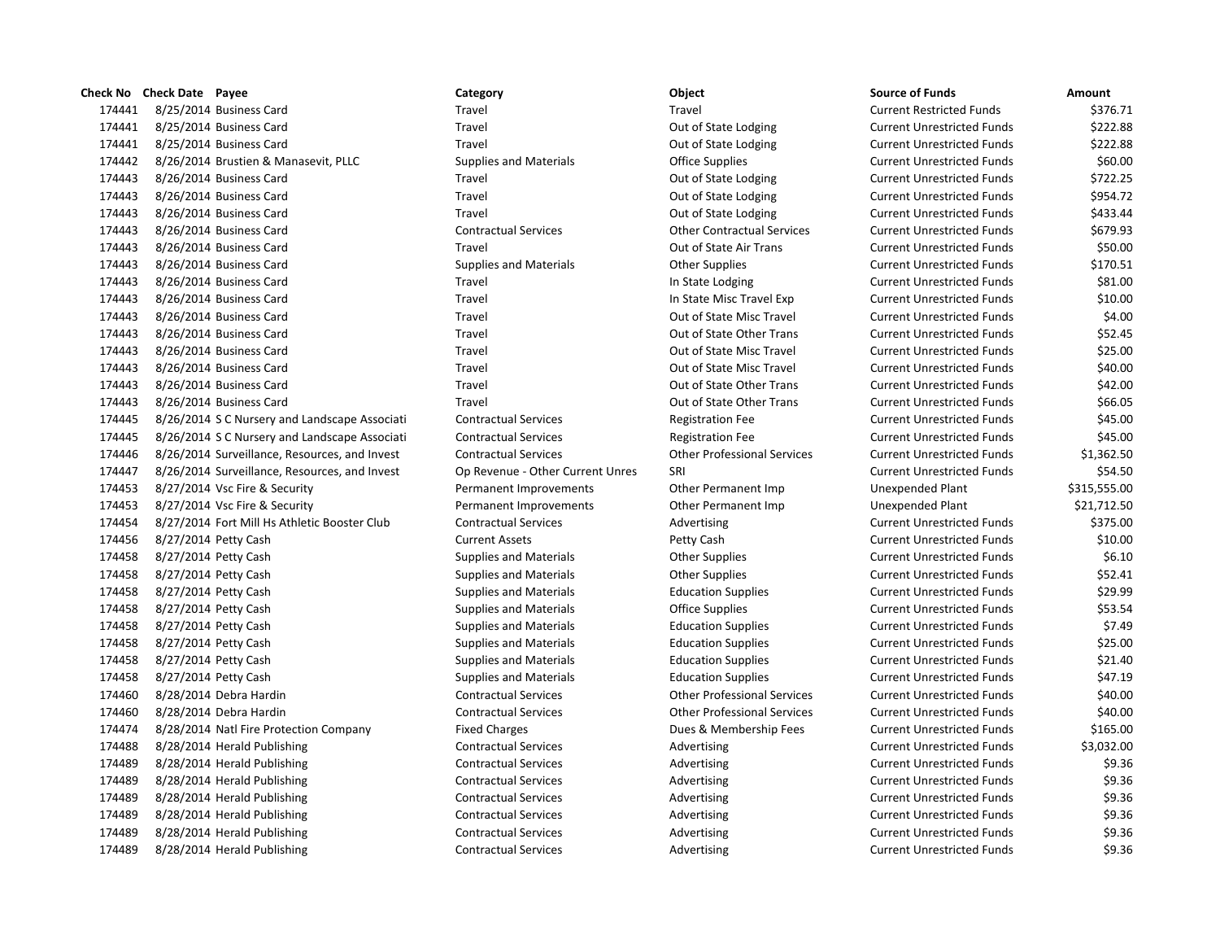| Check No | <b>Check Date</b> Payee                       | Category                         | Object                             | <b>Source of Funds</b>            | Amount       |
|----------|-----------------------------------------------|----------------------------------|------------------------------------|-----------------------------------|--------------|
| 174441   | 8/25/2014 Business Card                       | Travel                           | Travel                             | <b>Current Restricted Funds</b>   | \$376.71     |
| 174441   | 8/25/2014 Business Card                       | Travel                           | Out of State Lodging               | <b>Current Unrestricted Funds</b> | \$222.88     |
| 174441   | 8/25/2014 Business Card                       | Travel                           | Out of State Lodging               | <b>Current Unrestricted Funds</b> | \$222.88     |
| 174442   | 8/26/2014 Brustien & Manasevit, PLLC          | <b>Supplies and Materials</b>    | <b>Office Supplies</b>             | <b>Current Unrestricted Funds</b> | \$60.00      |
| 174443   | 8/26/2014 Business Card                       | Travel                           | Out of State Lodging               | <b>Current Unrestricted Funds</b> | \$722.25     |
| 174443   | 8/26/2014 Business Card                       | Travel                           | Out of State Lodging               | <b>Current Unrestricted Funds</b> | \$954.72     |
| 174443   | 8/26/2014 Business Card                       | Travel                           | Out of State Lodging               | <b>Current Unrestricted Funds</b> | \$433.44     |
| 174443   | 8/26/2014 Business Card                       | <b>Contractual Services</b>      | <b>Other Contractual Services</b>  | <b>Current Unrestricted Funds</b> | \$679.93     |
| 174443   | 8/26/2014 Business Card                       | Travel                           | Out of State Air Trans             | <b>Current Unrestricted Funds</b> | \$50.00      |
| 174443   | 8/26/2014 Business Card                       | <b>Supplies and Materials</b>    | <b>Other Supplies</b>              | <b>Current Unrestricted Funds</b> | \$170.51     |
| 174443   | 8/26/2014 Business Card                       | Travel                           | In State Lodging                   | <b>Current Unrestricted Funds</b> | \$81.00      |
| 174443   | 8/26/2014 Business Card                       | Travel                           | In State Misc Travel Exp           | <b>Current Unrestricted Funds</b> | \$10.00      |
| 174443   | 8/26/2014 Business Card                       | Travel                           | Out of State Misc Travel           | <b>Current Unrestricted Funds</b> | \$4.00       |
| 174443   | 8/26/2014 Business Card                       | Travel                           | Out of State Other Trans           | <b>Current Unrestricted Funds</b> | \$52.45      |
| 174443   | 8/26/2014 Business Card                       | Travel                           | Out of State Misc Travel           | <b>Current Unrestricted Funds</b> | \$25.00      |
| 174443   | 8/26/2014 Business Card                       | Travel                           | Out of State Misc Travel           | <b>Current Unrestricted Funds</b> | \$40.00      |
| 174443   | 8/26/2014 Business Card                       | Travel                           | Out of State Other Trans           | <b>Current Unrestricted Funds</b> | \$42.00      |
| 174443   | 8/26/2014 Business Card                       | Travel                           | Out of State Other Trans           | <b>Current Unrestricted Funds</b> | \$66.05      |
| 174445   | 8/26/2014 S C Nursery and Landscape Associati | <b>Contractual Services</b>      | <b>Registration Fee</b>            | <b>Current Unrestricted Funds</b> | \$45.00      |
| 174445   | 8/26/2014 S C Nursery and Landscape Associati | <b>Contractual Services</b>      | <b>Registration Fee</b>            | <b>Current Unrestricted Funds</b> | \$45.00      |
| 174446   | 8/26/2014 Surveillance, Resources, and Invest | <b>Contractual Services</b>      | <b>Other Professional Services</b> | <b>Current Unrestricted Funds</b> | \$1,362.50   |
| 174447   | 8/26/2014 Surveillance, Resources, and Invest | Op Revenue - Other Current Unres | SRI                                | <b>Current Unrestricted Funds</b> | \$54.50      |
| 174453   | 8/27/2014 Vsc Fire & Security                 | Permanent Improvements           | Other Permanent Imp                | <b>Unexpended Plant</b>           | \$315,555.00 |
| 174453   | 8/27/2014 Vsc Fire & Security                 | Permanent Improvements           | Other Permanent Imp                | Unexpended Plant                  | \$21,712.50  |
| 174454   | 8/27/2014 Fort Mill Hs Athletic Booster Club  | <b>Contractual Services</b>      | Advertising                        | <b>Current Unrestricted Funds</b> | \$375.00     |
| 174456   | 8/27/2014 Petty Cash                          | <b>Current Assets</b>            | Petty Cash                         | <b>Current Unrestricted Funds</b> | \$10.00      |
| 174458   | 8/27/2014 Petty Cash                          | <b>Supplies and Materials</b>    | <b>Other Supplies</b>              | <b>Current Unrestricted Funds</b> | \$6.10       |
| 174458   | 8/27/2014 Petty Cash                          | <b>Supplies and Materials</b>    | <b>Other Supplies</b>              | <b>Current Unrestricted Funds</b> | \$52.41      |
| 174458   | 8/27/2014 Petty Cash                          | <b>Supplies and Materials</b>    | <b>Education Supplies</b>          | <b>Current Unrestricted Funds</b> | \$29.99      |
| 174458   | 8/27/2014 Petty Cash                          | <b>Supplies and Materials</b>    | <b>Office Supplies</b>             | <b>Current Unrestricted Funds</b> | \$53.54      |
| 174458   | 8/27/2014 Petty Cash                          | <b>Supplies and Materials</b>    | <b>Education Supplies</b>          | <b>Current Unrestricted Funds</b> | \$7.49       |
| 174458   | 8/27/2014 Petty Cash                          | <b>Supplies and Materials</b>    | <b>Education Supplies</b>          | <b>Current Unrestricted Funds</b> | \$25.00      |
| 174458   | 8/27/2014 Petty Cash                          | <b>Supplies and Materials</b>    | <b>Education Supplies</b>          | <b>Current Unrestricted Funds</b> | \$21.40      |
| 174458   | 8/27/2014 Petty Cash                          | <b>Supplies and Materials</b>    | <b>Education Supplies</b>          | <b>Current Unrestricted Funds</b> | \$47.19      |
| 174460   | 8/28/2014 Debra Hardin                        | <b>Contractual Services</b>      | <b>Other Professional Services</b> | <b>Current Unrestricted Funds</b> | \$40.00      |
| 174460   | 8/28/2014 Debra Hardin                        | <b>Contractual Services</b>      | <b>Other Professional Services</b> | <b>Current Unrestricted Funds</b> | \$40.00      |
| 174474   | 8/28/2014 Natl Fire Protection Company        | <b>Fixed Charges</b>             | Dues & Membership Fees             | <b>Current Unrestricted Funds</b> | \$165.00     |
| 174488   | 8/28/2014 Herald Publishing                   | <b>Contractual Services</b>      | Advertising                        | <b>Current Unrestricted Funds</b> | \$3,032.00   |
| 174489   | 8/28/2014 Herald Publishing                   | <b>Contractual Services</b>      | Advertising                        | <b>Current Unrestricted Funds</b> | \$9.36       |
| 174489   | 8/28/2014 Herald Publishing                   | <b>Contractual Services</b>      | Advertising                        | <b>Current Unrestricted Funds</b> | \$9.36       |
| 174489   | 8/28/2014 Herald Publishing                   | <b>Contractual Services</b>      | Advertising                        | <b>Current Unrestricted Funds</b> | \$9.36       |
| 174489   | 8/28/2014 Herald Publishing                   | <b>Contractual Services</b>      | Advertising                        | <b>Current Unrestricted Funds</b> | \$9.36       |
| 174489   | 8/28/2014 Herald Publishing                   | <b>Contractual Services</b>      | Advertising                        | <b>Current Unrestricted Funds</b> | \$9.36       |
| 174489   | 8/28/2014 Herald Publishing                   | <b>Contractual Services</b>      | Advertising                        | <b>Current Unrestricted Funds</b> | \$9.36       |

# 174441 8/25/2014 Business Card Travel Travel Current Restricted Funds \$376.71 1741 1744 117444 Travel Current Unrestricted Funds in the S222.88 Travel **17444 1744 Current Unrestricted Funds Current Unrestricted Funds** 5222.88 174442 8/26/2014 Brustien & Manasevit, PLLC Supplies and Materials Office Supplies Current Unrestricted Funds \$60.00 Travel **1744443 8/26/2014** Business Current Unrestricted Funds **Current Unrestricted Funds** \$722.25 174443 8/26/2014 Business Card Travel Out of State Lodging Current Unrestricted Funds \$954.72 Travel **1744 800 800 800 12644 Business Current Unrestricted Funds** 5433.44 174443 8/26/2014 Business Card Contractual Services Other Contractual Services Current Unrestricted Funds \$679.93 Travel **1744443 8.000 Business Coupons Current Unrestricted Funds** 550.00 174443 8/26/2014 Business Card Supplies and Materials Other Supplies Current Unrestricted Funds \$170.51 1753 1744 In State Lodging Current Unrestricted Funds \$81.00 174443 8/26/2014 Business Card Travel In State Misc Travel Exp Current Unrestricted Funds \$10.00 174443 8/26/2014 Business Card Travel Out of State Misc Travel Current Unrestricted Funds \$4.00 Travel **1744 Business Card Travel Business Current Unrestricted Funds** 552.45 Travel **1744443 812444 Business Coupons Current Current Unrestricted Funds** 525.00 Travel **17444 1744 Business Coupons Current Universe Current Unrestricted Funds 540.00 \$40.00** 174443 8/26/2014 Business Card Travel Out of State Other Trans Current Unrestricted Funds \$42.00 174443 8/26/2014 Business Card Travel Out of State Other Trans Current Unrestricted Funds \$66.05 145.00 5.001 Sociati Contractual Services Registration Fee Current Unrestricted Funds \$45.00 174445 8/26/2014 S C Nursery and Landscape Associati Contractual Services Registration Fee Current Unrestricted Funds \$45.00 nvest Contractual Services Contractual Services Other Professional Services Current Unrestricted Funds \$1,362.50 nvest Op Revenue - Other Current Unres SRI Current Unres Current Unrestricted Funds \$54.50 Permanent Improvements **1744** Other Permanent Imp Unexpended Plant 5315,555.00 Permanent Improvements **1744** Other Permanent Imp Unexpended Plant \$21,712.50 174454 8/27/2014 Fort Mill Hs Athletic Booster Club Contractual Services Advertising Current Unrestricted Funds \$375.00 174456 8/27/2014 Petty Cash Current Assets Petty Cash Current Unrestricted Funds \$10.00 1764 Supplies and Materials **80.10** Community Community Current Unrestricted Funds  $\sim$  \$6.10 174458 8/27/2014 Petty Cash Supplies and Materials Other Supplies Current Unrestricted Funds \$52.41 174458 8/27/2014 Petty Cash Supplies and Materials Education Supplies Current Unrestricted Funds \$29.99 174458 8/27/2014 Petty Cash Supplies and Materials Office Supplies Current Unrestricted Funds \$53.54 174458 8/27/2014 Petty Cash Supplies and Materials Education Supplies Current Unrestricted Funds \$7.49 174458 8/27/2014 Petty Cash Supplies and Materials Education Supplies Current Unrestricted Funds \$25.00 174458 8/27/2014 Petty Cash Supplies and Materials Education Supplies Current Unrestricted Funds \$21.40 174458 8/27/2014 Petty Cash Supplies and Materials Education Supplies Current Unrestricted Funds \$47.19 174460 8/28/2014 Debra Hardin Contractual Services Other Professional Services Current Unrestricted Funds \$40.00 174460 8/28/2014 Debra Hardin Contractual Services Other Professional Services Current Unrestricted Funds \$40.00 Fixed Charges **1744 Example Fixed Charges** Current Unrestricted Funds \$165.00 174488 8/28/2014 Herald Publishing Contractual Services Advertising Current Unrestricted Funds \$3,032.00 174489 8/28/2014 Herald Publishing Contractual Services Advertising Current Unrestricted Funds \$9.36 174489 8/28/2014 Herald Publishing Contractual Services Advertising Current Unrestricted Funds \$9.36 174489 8/28/2014 Herald Publishing Contractual Services Advertising Current Unrestricted Funds \$9.36 179.36 Contractual Services The Superior Contractual Services Advertising Current Unrestricted Funds \$9.36 174489 8/28/2014 Herald Publishing Contractual Services Advertising Current Unrestricted Funds \$9.36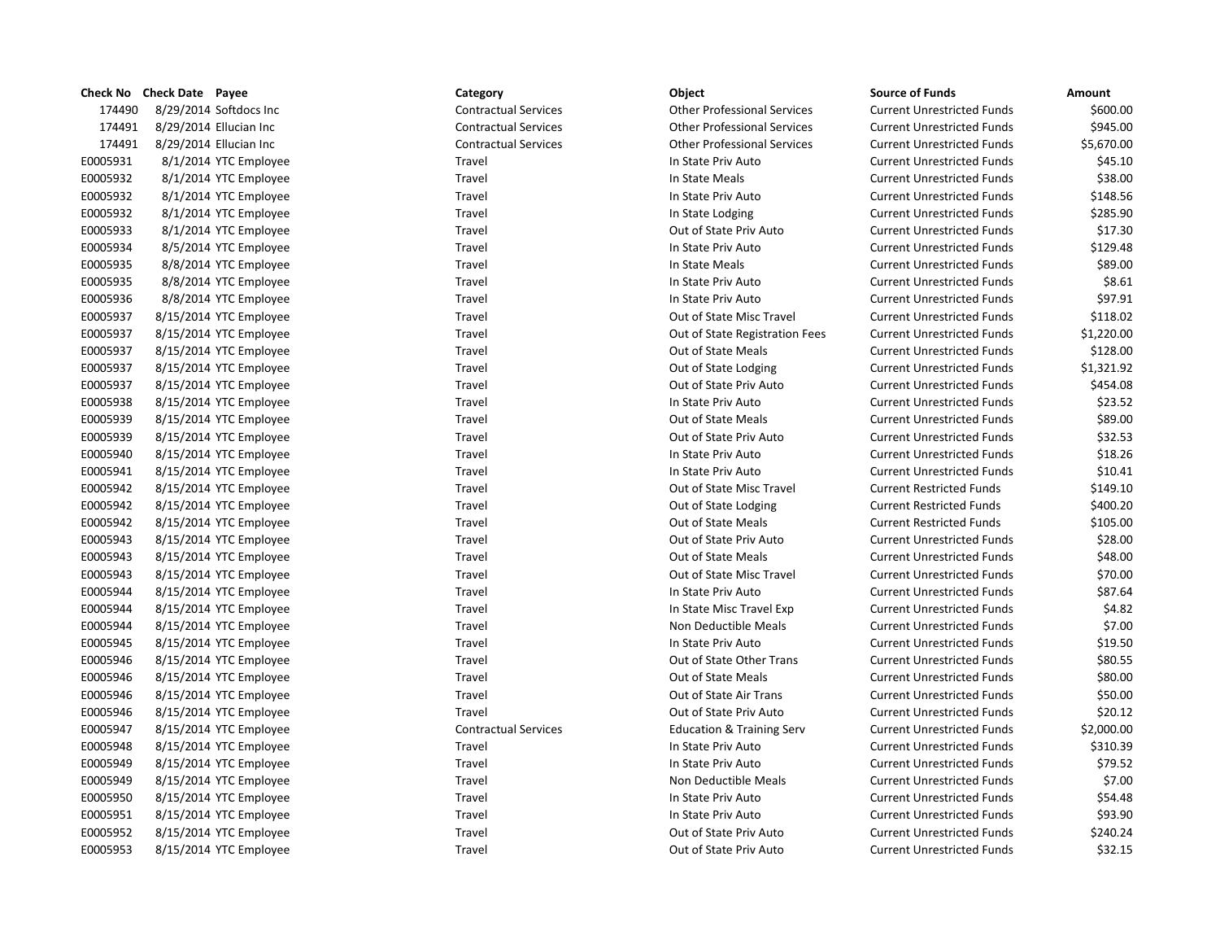|                 | Check No Check Date Payee |                          | Category                    | Object                               | <b>Source of Funds</b>            | Amount |
|-----------------|---------------------------|--------------------------|-----------------------------|--------------------------------------|-----------------------------------|--------|
| 174490          |                           | 8/29/2014 Softdocs Inc   | <b>Contractual Services</b> | <b>Other Professional Services</b>   | <b>Current Unrestricted Funds</b> | \$60   |
| 174491          |                           | 8/29/2014 Ellucian Inc   | <b>Contractual Services</b> | <b>Other Professional Services</b>   | <b>Current Unrestricted Funds</b> | \$94   |
| 174491          |                           | 8/29/2014 Ellucian Inc   | <b>Contractual Services</b> | <b>Other Professional Services</b>   | <b>Current Unrestricted Funds</b> | \$5,67 |
| E0005931        |                           | 8/1/2014 YTC Employee    | Travel                      | In State Priv Auto                   | <b>Current Unrestricted Funds</b> | \$4    |
| E0005932        |                           | 8/1/2014 YTC Employee    | Travel                      | In State Meals                       | <b>Current Unrestricted Funds</b> | \$3    |
| E0005932        |                           | 8/1/2014 YTC Employee    | Travel                      | In State Priv Auto                   | <b>Current Unrestricted Funds</b> | \$14   |
| E0005932        |                           | 8/1/2014 YTC Employee    | Travel                      | In State Lodging                     | <b>Current Unrestricted Funds</b> | \$28   |
| E0005933        |                           | 8/1/2014 YTC Employee    | Travel                      | Out of State Priv Auto               | <b>Current Unrestricted Funds</b> | \$1    |
| E0005934        |                           | 8/5/2014 YTC Employee    | Travel                      | In State Priv Auto                   | <b>Current Unrestricted Funds</b> | \$12   |
| E0005935        |                           | 8/8/2014 YTC Employee    | Travel                      | In State Meals                       | <b>Current Unrestricted Funds</b> | \$8    |
| E0005935        |                           | 8/8/2014 YTC Employee    | Travel                      | In State Priv Auto                   | <b>Current Unrestricted Funds</b> | Ś      |
| E0005936        |                           | 8/8/2014 YTC Employee    | Travel                      | In State Priv Auto                   | <b>Current Unrestricted Funds</b> | \$9    |
| E0005937        |                           | 8/15/2014 YTC Employee   | Travel                      | Out of State Misc Travel             | <b>Current Unrestricted Funds</b> | \$11   |
| E0005937        |                           | 8/15/2014 YTC Employee   | Travel                      | Out of State Registration Fees       | <b>Current Unrestricted Funds</b> | \$1,22 |
| E0005937        |                           | 8/15/2014 YTC Employee   | Travel                      | Out of State Meals                   | <b>Current Unrestricted Funds</b> | \$12   |
| E0005937        |                           | 8/15/2014 YTC Employee   | Travel                      | Out of State Lodging                 | <b>Current Unrestricted Funds</b> | \$1,32 |
| E0005937        |                           | 8/15/2014 YTC Employee   | Travel                      | Out of State Priv Auto               | <b>Current Unrestricted Funds</b> | \$45   |
| E0005938        |                           | 8/15/2014 YTC Employee   | Travel                      | In State Priv Auto                   | <b>Current Unrestricted Funds</b> | \$2    |
| E0005939        |                           | 8/15/2014 YTC Employee   | Travel                      | Out of State Meals                   | <b>Current Unrestricted Funds</b> | \$8    |
| E0005939        |                           | 8/15/2014 YTC Employee   | Travel                      | Out of State Priv Auto               | <b>Current Unrestricted Funds</b> | \$3    |
| E0005940        |                           | 8/15/2014 YTC Employee   | Travel                      | In State Priv Auto                   | <b>Current Unrestricted Funds</b> | \$1    |
| E0005941        |                           | 8/15/2014 YTC Employee   | Travel                      | In State Priv Auto                   | <b>Current Unrestricted Funds</b> | \$1    |
| E0005942        |                           | 8/15/2014 YTC Employee   | Travel                      | Out of State Misc Travel             | <b>Current Restricted Funds</b>   | \$14   |
| E0005942        |                           | 8/15/2014 YTC Employee   | Travel                      | Out of State Lodging                 | <b>Current Restricted Funds</b>   | \$40   |
| E0005942        |                           | 8/15/2014 YTC Employee   | Travel                      | Out of State Meals                   | <b>Current Restricted Funds</b>   | \$10   |
| E0005943        |                           | 8/15/2014 YTC Employee   | Travel                      | Out of State Priv Auto               | <b>Current Unrestricted Funds</b> | \$2    |
| E0005943        |                           | 8/15/2014 YTC Employee   | Travel                      | Out of State Meals                   | <b>Current Unrestricted Funds</b> | \$4    |
| E0005943        |                           | 8/15/2014 YTC Employee   | Travel                      | Out of State Misc Travel             | <b>Current Unrestricted Funds</b> | \$7    |
| E0005944        |                           | 8/15/2014 YTC Employee   | Travel                      | In State Priv Auto                   | <b>Current Unrestricted Funds</b> | \$8    |
| E0005944        |                           | 8/15/2014 YTC Employee   | Travel                      | In State Misc Travel Exp             | <b>Current Unrestricted Funds</b> | \$     |
| E0005944        |                           | 8/15/2014 YTC Employee   | Travel                      | Non Deductible Meals                 | <b>Current Unrestricted Funds</b> | \$     |
| E0005945        |                           | 8/15/2014 YTC Employee   | Travel                      | In State Priv Auto                   | <b>Current Unrestricted Funds</b> | \$1    |
| E0005946        |                           | 8/15/2014 YTC Employee   | Travel                      | Out of State Other Trans             | <b>Current Unrestricted Funds</b> | \$8    |
| E0005946        |                           | 8/15/2014 YTC Employee   | Travel                      | Out of State Meals                   | <b>Current Unrestricted Funds</b> | \$8    |
| E0005946        |                           | 8/15/2014 YTC Employee   | Travel                      | Out of State Air Trans               | <b>Current Unrestricted Funds</b> | \$5    |
| E0005946        |                           | 8/15/2014 YTC Employee   | Travel                      | Out of State Priv Auto               | <b>Current Unrestricted Funds</b> | \$2    |
| E0005947        |                           | 8/15/2014 YTC Employee   | <b>Contractual Services</b> | <b>Education &amp; Training Serv</b> | <b>Current Unrestricted Funds</b> | \$2,00 |
| E0005948        |                           | 8/15/2014 YTC Employee   | Travel                      | In State Priv Auto                   | <b>Current Unrestricted Funds</b> | \$31   |
| E0005949        |                           | 8/15/2014 YTC Employee   | Travel                      | In State Priv Auto                   | <b>Current Unrestricted Funds</b> | \$7    |
| E0005949        |                           | 8/15/2014 YTC Employee   | Travel                      | Non Deductible Meals                 | <b>Current Unrestricted Funds</b> | Ś      |
| E0005950        |                           | 8/15/2014 YTC Employee   | Travel                      | In State Priv Auto                   | <b>Current Unrestricted Funds</b> | \$5    |
| E0005951        |                           | 8/15/2014 YTC Employee   | Travel                      | In State Priv Auto                   | <b>Current Unrestricted Funds</b> | \$9    |
| E0005952        |                           | 8/15/2014 YTC Employee   | Travel                      | Out of State Priv Auto               | <b>Current Unrestricted Funds</b> | \$24   |
| <b>EUUUE053</b> |                           | $8/15/2014$ VTC Employee | Travel                      | Out of State Priv Auto               | Currant Unractrictad Funds        | ぐっ     |

# 174490 Contractual Services Contractual Services Current Units Services Current Units Services Current Units S 174491 Contractual Services Contractual Services Current Units Applicance Current Units Services Current Units Services 174491 Contractual Services Contractual Services Current Units Services Current Units Services Current Units S Travel **Travel State Misc Travel Accord Travel Current United Travel Current United Travel Current United Travel** Travel **Travel EXECURE TRAVEL SERVIFE TRAVEL STATE OUT OF State Registration Fees** Travel **EXECURRENT COUPER TRAVEL SIZE SIZE OUT OF State Misc Travel** Travel **EXP 8.44 SIMUS** In State Misc Travel Exp Expedition of State Other Trans Travel Travel **EXECUTE:** Cut of State Priv Auto Contractual Services **Education & Training Services** Education & Training Serv

| Check No | <b>Check Date Payee</b> | Category                    | Object                               | Source of Funds                   | Amount     |
|----------|-------------------------|-----------------------------|--------------------------------------|-----------------------------------|------------|
| 174490   | 8/29/2014 Softdocs Inc  | <b>Contractual Services</b> | <b>Other Professional Services</b>   | <b>Current Unrestricted Funds</b> | \$600.00   |
| 174491   | 8/29/2014 Ellucian Inc  | <b>Contractual Services</b> | <b>Other Professional Services</b>   | <b>Current Unrestricted Funds</b> | \$945.00   |
| 174491   | 8/29/2014 Ellucian Inc  | <b>Contractual Services</b> | <b>Other Professional Services</b>   | <b>Current Unrestricted Funds</b> | \$5,670.00 |
| E0005931 | 8/1/2014 YTC Employee   | Travel                      | In State Priv Auto                   | <b>Current Unrestricted Funds</b> | \$45.10    |
| E0005932 | 8/1/2014 YTC Employee   | Travel                      | In State Meals                       | <b>Current Unrestricted Funds</b> | \$38.00    |
| E0005932 | 8/1/2014 YTC Employee   | Travel                      | In State Priv Auto                   | <b>Current Unrestricted Funds</b> | \$148.56   |
| E0005932 | 8/1/2014 YTC Employee   | Travel                      | In State Lodging                     | <b>Current Unrestricted Funds</b> | \$285.90   |
| E0005933 | 8/1/2014 YTC Employee   | Travel                      | Out of State Priv Auto               | <b>Current Unrestricted Funds</b> | \$17.30    |
| E0005934 | 8/5/2014 YTC Employee   | Travel                      | In State Priv Auto                   | <b>Current Unrestricted Funds</b> | \$129.48   |
| E0005935 | 8/8/2014 YTC Employee   | Travel                      | In State Meals                       | <b>Current Unrestricted Funds</b> | \$89.00    |
| E0005935 | 8/8/2014 YTC Employee   | Travel                      | In State Priv Auto                   | <b>Current Unrestricted Funds</b> | \$8.61     |
| E0005936 | 8/8/2014 YTC Employee   | Travel                      | In State Priv Auto                   | <b>Current Unrestricted Funds</b> | \$97.91    |
| E0005937 | 8/15/2014 YTC Employee  | Travel                      | Out of State Misc Travel             | <b>Current Unrestricted Funds</b> | \$118.02   |
| E0005937 | 8/15/2014 YTC Employee  | Travel                      | Out of State Registration Fees       | <b>Current Unrestricted Funds</b> | \$1,220.00 |
| E0005937 | 8/15/2014 YTC Employee  | Travel                      | Out of State Meals                   | <b>Current Unrestricted Funds</b> | \$128.00   |
| E0005937 | 8/15/2014 YTC Employee  | Travel                      | Out of State Lodging                 | <b>Current Unrestricted Funds</b> | \$1,321.92 |
| E0005937 | 8/15/2014 YTC Employee  | Travel                      | Out of State Priv Auto               | <b>Current Unrestricted Funds</b> | \$454.08   |
| E0005938 | 8/15/2014 YTC Employee  | Travel                      | In State Priv Auto                   | <b>Current Unrestricted Funds</b> | \$23.52    |
| E0005939 | 8/15/2014 YTC Employee  | Travel                      | Out of State Meals                   | <b>Current Unrestricted Funds</b> | \$89.00    |
| E0005939 | 8/15/2014 YTC Employee  | Travel                      | Out of State Priv Auto               | <b>Current Unrestricted Funds</b> | \$32.53    |
| E0005940 | 8/15/2014 YTC Employee  | Travel                      | In State Priv Auto                   | <b>Current Unrestricted Funds</b> | \$18.26    |
| E0005941 | 8/15/2014 YTC Employee  | Travel                      | In State Priv Auto                   | <b>Current Unrestricted Funds</b> | \$10.41    |
| E0005942 | 8/15/2014 YTC Employee  | Travel                      | Out of State Misc Travel             | <b>Current Restricted Funds</b>   | \$149.10   |
| E0005942 | 8/15/2014 YTC Employee  | Travel                      | Out of State Lodging                 | <b>Current Restricted Funds</b>   | \$400.20   |
| E0005942 | 8/15/2014 YTC Employee  | Travel                      | Out of State Meals                   | <b>Current Restricted Funds</b>   | \$105.00   |
| E0005943 | 8/15/2014 YTC Employee  | Travel                      | Out of State Priv Auto               | <b>Current Unrestricted Funds</b> | \$28.00    |
| E0005943 | 8/15/2014 YTC Employee  | Travel                      | Out of State Meals                   | <b>Current Unrestricted Funds</b> | \$48.00    |
| E0005943 | 8/15/2014 YTC Employee  | Travel                      | Out of State Misc Travel             | <b>Current Unrestricted Funds</b> | \$70.00    |
| E0005944 | 8/15/2014 YTC Employee  | Travel                      | In State Priv Auto                   | <b>Current Unrestricted Funds</b> | \$87.64    |
| E0005944 | 8/15/2014 YTC Employee  | Travel                      | In State Misc Travel Exp             | <b>Current Unrestricted Funds</b> | \$4.82     |
| E0005944 | 8/15/2014 YTC Employee  | Travel                      | Non Deductible Meals                 | <b>Current Unrestricted Funds</b> | \$7.00     |
| E0005945 | 8/15/2014 YTC Employee  | Travel                      | In State Priv Auto                   | <b>Current Unrestricted Funds</b> | \$19.50    |
| E0005946 | 8/15/2014 YTC Employee  | Travel                      | Out of State Other Trans             | <b>Current Unrestricted Funds</b> | \$80.55    |
| E0005946 | 8/15/2014 YTC Employee  | Travel                      | Out of State Meals                   | <b>Current Unrestricted Funds</b> | \$80.00    |
| E0005946 | 8/15/2014 YTC Employee  | Travel                      | Out of State Air Trans               | <b>Current Unrestricted Funds</b> | \$50.00    |
| E0005946 | 8/15/2014 YTC Employee  | Travel                      | Out of State Priv Auto               | <b>Current Unrestricted Funds</b> | \$20.12    |
| E0005947 | 8/15/2014 YTC Employee  | <b>Contractual Services</b> | <b>Education &amp; Training Serv</b> | <b>Current Unrestricted Funds</b> | \$2,000.00 |
| E0005948 | 8/15/2014 YTC Employee  | Travel                      | In State Priv Auto                   | <b>Current Unrestricted Funds</b> | \$310.39   |
| E0005949 | 8/15/2014 YTC Employee  | Travel                      | In State Priv Auto                   | <b>Current Unrestricted Funds</b> | \$79.52    |
| E0005949 | 8/15/2014 YTC Employee  | Travel                      | Non Deductible Meals                 | <b>Current Unrestricted Funds</b> | \$7.00     |
| E0005950 | 8/15/2014 YTC Employee  | Travel                      | In State Priv Auto                   | <b>Current Unrestricted Funds</b> | \$54.48    |
| E0005951 | 8/15/2014 YTC Employee  | Travel                      | In State Priv Auto                   | <b>Current Unrestricted Funds</b> | \$93.90    |
| E0005952 | 8/15/2014 YTC Employee  | Travel                      | Out of State Priv Auto               | <b>Current Unrestricted Funds</b> | \$240.24   |
| E0005953 | 8/15/2014 YTC Employee  | Travel                      | Out of State Priv Auto               | <b>Current Unrestricted Funds</b> | \$32.15    |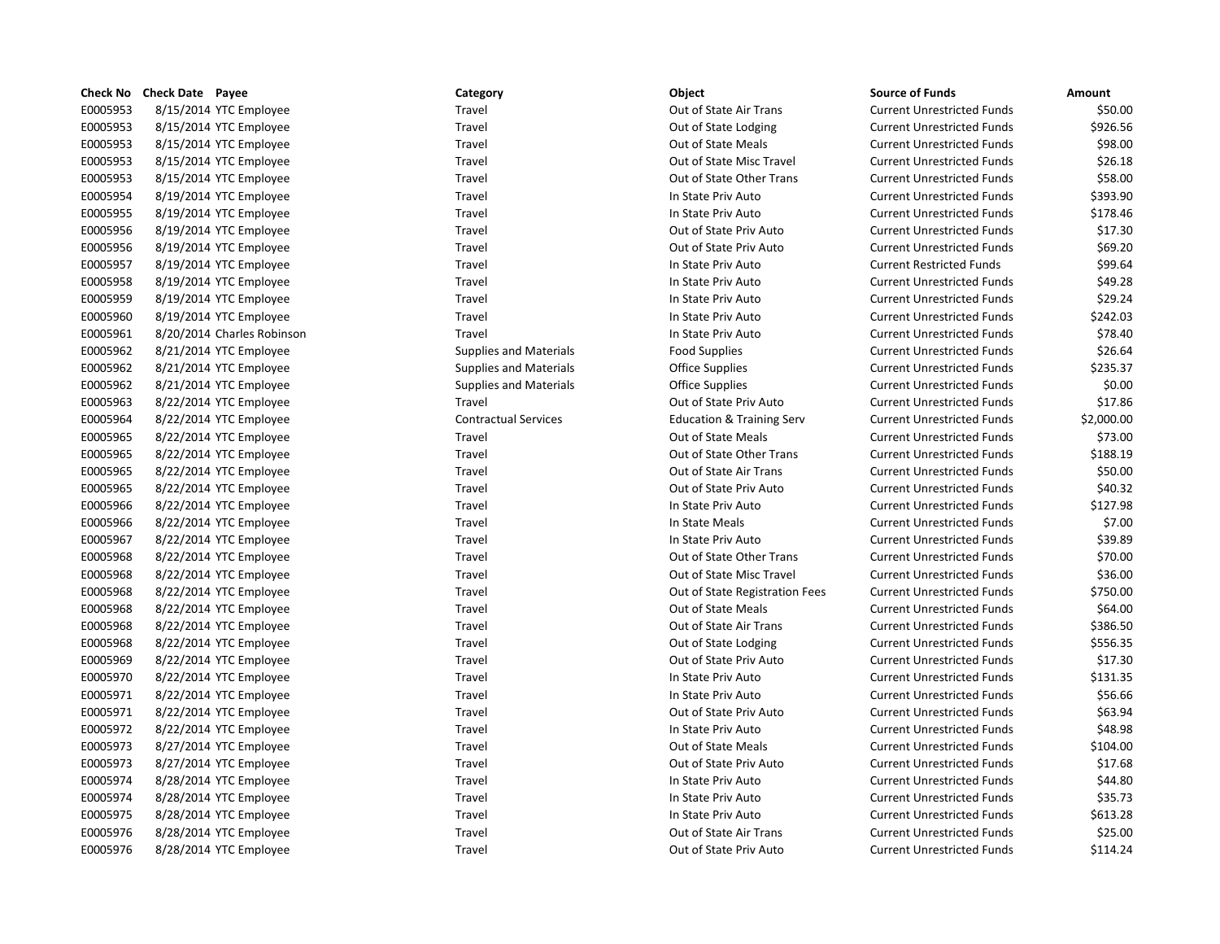| Check No        | Check Date | Payee                      |
|-----------------|------------|----------------------------|
| E0005953        |            | 8/15/2014 YTC Employee     |
| E0005953        |            | 8/15/2014 YTC Employee     |
| E0005953        |            | 8/15/2014 YTC Employee     |
| E0005953        |            | 8/15/2014 YTC Employee     |
| E0005953        |            | 8/15/2014 YTC Employee     |
| E0005954        |            | 8/19/2014 YTC Employee     |
| E0005955        |            | 8/19/2014 YTC Employee     |
| E0005956        |            | 8/19/2014 YTC Employee     |
| E0005956        |            | 8/19/2014 YTC Employee     |
| E0005957        |            | 8/19/2014 YTC Employee     |
| E0005958        |            | 8/19/2014 YTC Employee     |
| E0005959        |            | 8/19/2014 YTC Employee     |
| E0005960        |            | 8/19/2014 YTC Employee     |
| E0005961        |            | 8/20/2014 Charles Robinson |
| E0005962        |            | 8/21/2014 YTC Employee     |
| E0005962        |            | 8/21/2014 YTC Employee     |
| E0005962        |            | 8/21/2014 YTC Employee     |
| E0005963        |            | 8/22/2014 YTC Employee     |
| E0005964        |            | 8/22/2014 YTC Employee     |
| E0005965        |            | 8/22/2014 YTC Employee     |
| E0005965        |            | 8/22/2014 YTC Employee     |
| E0005965        |            | 8/22/2014 YTC Employee     |
| E0005965        |            | 8/22/2014 YTC Employee     |
| E0005966        |            | 8/22/2014 YTC Employee     |
| E0005966        |            | 8/22/2014 YTC Employee     |
| E0005967        |            | 8/22/2014 YTC Employee     |
| E0005968        |            | 8/22/2014 YTC Employee     |
| E0005968        |            | 8/22/2014 YTC Employee     |
| E0005968        |            | 8/22/2014 YTC Employee     |
| E0005968        |            | 8/22/2014 YTC Employee     |
| E0005968        |            | 8/22/2014 YTC Employee     |
| E0005968        |            | 8/22/2014 YTC Employee     |
| E0005969        |            | 8/22/2014 YTC Employee     |
| E0005970        |            | 8/22/2014 YTC Employee     |
| E0005971        |            | 8/22/2014 YTC Employee     |
| E0005971        |            | 8/22/2014 YTC Employee     |
| E0005972        |            | 8/22/2014 YTC Employee     |
| E0005973        |            | 8/27/2014 YTC Employee     |
| E0005973        |            | 8/27/2014 YTC Employee     |
| E0005974        |            | 8/28/2014 YTC Employee     |
| E0005974        |            | 8/28/2014 YTC Employee     |
| E0005975        |            | 8/28/2014 YTC Employee     |
| E0005976        |            | 8/28/2014 YTC Employee     |
| <b>FNN05976</b> |            | 8/28/2014 YTC Emnlovee     |

| ategory             |
|---------------------|
| avel <sup>.</sup>   |
| avel <sup>.</sup>   |
| avel                |
| avel <sup>.</sup>   |
| avel <sup>.</sup>   |
| avel                |
| avel <sup>.</sup>   |
| avel                |
| avel                |
| avel <sup>.</sup>   |
| avel <sup>.</sup>   |
| avel:               |
| avel <sup>.</sup>   |
| avel:               |
| upplies and Materi  |
| upplies and Materi  |
| upplies and Materi  |
| avel <sup>.</sup>   |
| ontractual Services |
| avel <sup>.</sup>   |
| avel <sup>.</sup>   |
| avel:               |
| avel                |
| avel <sup>.</sup>   |
| avel:               |
| avel                |
| avel <sup>.</sup>   |
| avel:               |
| avel                |
| avel <sup>.</sup>   |
| avel                |
| avel <sup>.</sup>   |
| avel <sup>.</sup>   |
| avel <sup>.</sup>   |
| avel:               |
| avel                |
| avel <sup>.</sup>   |
| avel:               |
| avel:               |
| avel                |
| avel <sup>.</sup>   |
| avel                |
| avel                |
| $\cdots$            |

# Exterior End of State Other Trans Contractual Services **Education & Training Services** Education & Training Serv Example 1 2005 8 2006 8 2014 0 2014 0 2014 Out of State Other Trans Example 1 Travel 8 and 2014 Out of State Other Trans Travel **EXEC/2015** 80005 8000 8000 8 Out of State Misc Travel Travel **Travel EXECURE TRAVEL SIGNAL YOUT OUT OF State Registration Fees** Travel **EXEC/2014** Out of State Priv Auto

| Check No | <b>Check Date Payee</b> |                            | Category                      | Object                               | <b>Source of Funds</b>            | Amount     |
|----------|-------------------------|----------------------------|-------------------------------|--------------------------------------|-----------------------------------|------------|
| E0005953 | 8/15/2014 YTC Employee  |                            | Travel                        | Out of State Air Trans               | <b>Current Unrestricted Funds</b> | \$50.00    |
| E0005953 | 8/15/2014 YTC Employee  |                            | Travel                        | Out of State Lodging                 | <b>Current Unrestricted Funds</b> | \$926.56   |
| E0005953 | 8/15/2014 YTC Employee  |                            | Travel                        | Out of State Meals                   | <b>Current Unrestricted Funds</b> | \$98.00    |
| E0005953 | 8/15/2014 YTC Employee  |                            | Travel                        | Out of State Misc Travel             | <b>Current Unrestricted Funds</b> | \$26.18    |
| E0005953 | 8/15/2014 YTC Employee  |                            | Travel                        | Out of State Other Trans             | <b>Current Unrestricted Funds</b> | \$58.00    |
| E0005954 | 8/19/2014 YTC Employee  |                            | Travel                        | In State Priv Auto                   | <b>Current Unrestricted Funds</b> | \$393.90   |
| E0005955 | 8/19/2014 YTC Employee  |                            | Travel                        | In State Priv Auto                   | <b>Current Unrestricted Funds</b> | \$178.46   |
| E0005956 | 8/19/2014 YTC Employee  |                            | Travel                        | Out of State Priv Auto               | <b>Current Unrestricted Funds</b> | \$17.30    |
| E0005956 | 8/19/2014 YTC Employee  |                            | Travel                        | Out of State Priv Auto               | <b>Current Unrestricted Funds</b> | \$69.20    |
| E0005957 | 8/19/2014 YTC Employee  |                            | Travel                        | In State Priv Auto                   | <b>Current Restricted Funds</b>   | \$99.64    |
| E0005958 | 8/19/2014 YTC Employee  |                            | Travel                        | In State Priv Auto                   | <b>Current Unrestricted Funds</b> | \$49.28    |
| E0005959 | 8/19/2014 YTC Employee  |                            | Travel                        | In State Priv Auto                   | <b>Current Unrestricted Funds</b> | \$29.24    |
| E0005960 | 8/19/2014 YTC Employee  |                            | Travel                        | In State Priv Auto                   | <b>Current Unrestricted Funds</b> | \$242.03   |
| E0005961 |                         | 8/20/2014 Charles Robinson | Travel                        | In State Priv Auto                   | <b>Current Unrestricted Funds</b> | \$78.40    |
| E0005962 | 8/21/2014 YTC Employee  |                            | <b>Supplies and Materials</b> | Food Supplies                        | <b>Current Unrestricted Funds</b> | \$26.64    |
| E0005962 | 8/21/2014 YTC Employee  |                            | <b>Supplies and Materials</b> | <b>Office Supplies</b>               | <b>Current Unrestricted Funds</b> | \$235.37   |
| E0005962 | 8/21/2014 YTC Employee  |                            | <b>Supplies and Materials</b> | Office Supplies                      | <b>Current Unrestricted Funds</b> | \$0.00     |
| E0005963 | 8/22/2014 YTC Employee  |                            | Travel                        | Out of State Priv Auto               | <b>Current Unrestricted Funds</b> | \$17.86    |
| E0005964 | 8/22/2014 YTC Employee  |                            | <b>Contractual Services</b>   | <b>Education &amp; Training Serv</b> | <b>Current Unrestricted Funds</b> | \$2,000.00 |
| E0005965 | 8/22/2014 YTC Employee  |                            | Travel                        | Out of State Meals                   | <b>Current Unrestricted Funds</b> | \$73.00    |
| E0005965 | 8/22/2014 YTC Employee  |                            | Travel                        | Out of State Other Trans             | <b>Current Unrestricted Funds</b> | \$188.19   |
| E0005965 | 8/22/2014 YTC Employee  |                            | Travel                        | Out of State Air Trans               | <b>Current Unrestricted Funds</b> | \$50.00    |
| E0005965 | 8/22/2014 YTC Employee  |                            | Travel                        | Out of State Priv Auto               | <b>Current Unrestricted Funds</b> | \$40.32    |
| E0005966 | 8/22/2014 YTC Employee  |                            | Travel                        | In State Priv Auto                   | <b>Current Unrestricted Funds</b> | \$127.98   |
| E0005966 | 8/22/2014 YTC Employee  |                            | Travel                        | In State Meals                       | <b>Current Unrestricted Funds</b> | \$7.00     |
| E0005967 | 8/22/2014 YTC Employee  |                            | Travel                        | In State Priv Auto                   | <b>Current Unrestricted Funds</b> | \$39.89    |
| E0005968 | 8/22/2014 YTC Employee  |                            | Travel                        | Out of State Other Trans             | <b>Current Unrestricted Funds</b> | \$70.00    |
| E0005968 | 8/22/2014 YTC Employee  |                            | Travel                        | Out of State Misc Travel             | <b>Current Unrestricted Funds</b> | \$36.00    |
| E0005968 | 8/22/2014 YTC Employee  |                            | Travel                        | Out of State Registration Fees       | <b>Current Unrestricted Funds</b> | \$750.00   |
| E0005968 | 8/22/2014 YTC Employee  |                            | Travel                        | Out of State Meals                   | <b>Current Unrestricted Funds</b> | \$64.00    |
| E0005968 | 8/22/2014 YTC Employee  |                            | Travel                        | Out of State Air Trans               | <b>Current Unrestricted Funds</b> | \$386.50   |
| E0005968 | 8/22/2014 YTC Employee  |                            | Travel                        | Out of State Lodging                 | <b>Current Unrestricted Funds</b> | \$556.35   |
| E0005969 | 8/22/2014 YTC Employee  |                            | Travel                        | Out of State Priv Auto               | <b>Current Unrestricted Funds</b> | \$17.30    |
| E0005970 | 8/22/2014 YTC Employee  |                            | Travel                        | In State Priv Auto                   | <b>Current Unrestricted Funds</b> | \$131.35   |
| E0005971 | 8/22/2014 YTC Employee  |                            | Travel                        | In State Priv Auto                   | <b>Current Unrestricted Funds</b> | \$56.66    |
| E0005971 | 8/22/2014 YTC Employee  |                            | Travel                        | Out of State Priv Auto               | <b>Current Unrestricted Funds</b> | \$63.94    |
| E0005972 | 8/22/2014 YTC Employee  |                            | Travel                        | In State Priv Auto                   | <b>Current Unrestricted Funds</b> | \$48.98    |
| E0005973 | 8/27/2014 YTC Employee  |                            | Travel                        | Out of State Meals                   | <b>Current Unrestricted Funds</b> | \$104.00   |
| E0005973 | 8/27/2014 YTC Employee  |                            | Travel                        | Out of State Priv Auto               | <b>Current Unrestricted Funds</b> | \$17.68    |
| E0005974 | 8/28/2014 YTC Employee  |                            | Travel                        | In State Priv Auto                   | <b>Current Unrestricted Funds</b> | \$44.80    |
| E0005974 | 8/28/2014 YTC Employee  |                            | Travel                        | In State Priv Auto                   | <b>Current Unrestricted Funds</b> | \$35.73    |
| E0005975 | 8/28/2014 YTC Employee  |                            | Travel                        | In State Priv Auto                   | <b>Current Unrestricted Funds</b> | \$613.28   |
| E0005976 | 8/28/2014 YTC Employee  |                            | Travel                        | Out of State Air Trans               | <b>Current Unrestricted Funds</b> | \$25.00    |
| E0005976 | 8/28/2014 YTC Employee  |                            | Travel                        | Out of State Priv Auto               | <b>Current Unrestricted Funds</b> | \$114.24   |